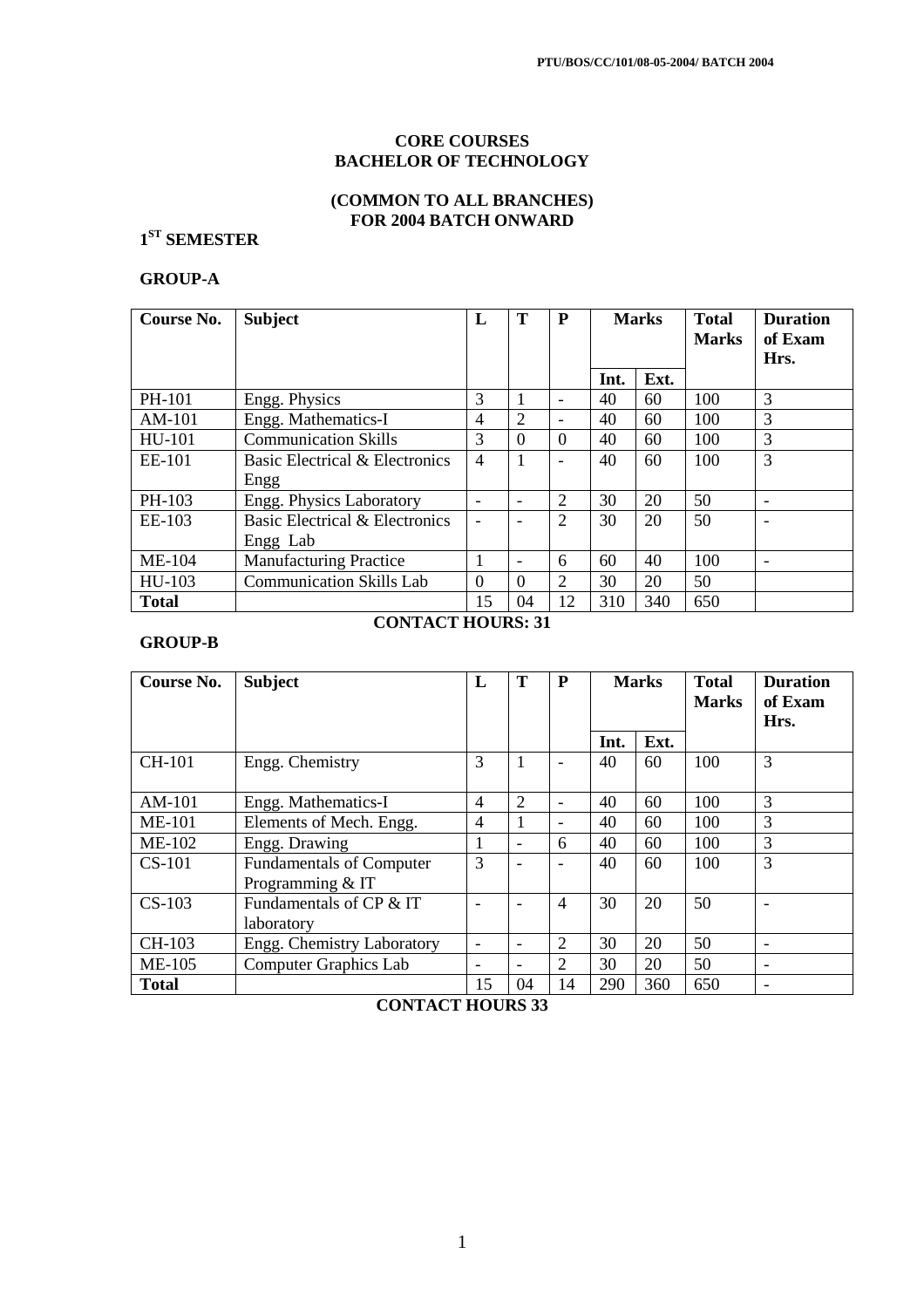# **CORE COURSES BACHELOR OF TECHNOLOGY**

# **(COMMON TO ALL BRANCHES) FOR 2004 BATCH ONWARD**

# **1 ST SEMESTER**

# **GROUP-A**

| Course No.    | <b>Subject</b>                  | L                        | Т                            | P                        | <b>Marks</b> |      | <b>Total</b><br><b>Marks</b> | <b>Duration</b><br>of Exam<br>Hrs. |
|---------------|---------------------------------|--------------------------|------------------------------|--------------------------|--------------|------|------------------------------|------------------------------------|
|               |                                 |                          |                              |                          | Int.         | Ext. |                              |                                    |
| PH-101        | Engg. Physics                   | 3                        | 1                            | $\overline{\phantom{a}}$ | 40           | 60   | 100                          | 3                                  |
| $AM-101$      | Engg. Mathematics-I             | 4                        | $\overline{2}$               | $\overline{\phantom{a}}$ | 40           | 60   | 100                          | 3                                  |
| HU-101        | <b>Communication Skills</b>     | 3                        | $\Omega$                     | $\Omega$                 | 40           | 60   | 100                          | 3                                  |
| EE-101        | Basic Electrical & Electronics  | $\overline{4}$           | 1                            | $\overline{\phantom{a}}$ | 40           | 60   | 100                          | 3                                  |
|               | Engg                            |                          |                              |                          |              |      |                              |                                    |
| PH-103        | Engg. Physics Laboratory        | $\overline{\phantom{0}}$ | $\qquad \qquad \blacksquare$ | $\overline{2}$           | 30           | 20   | 50                           | $\overline{\phantom{0}}$           |
| EE-103        | Basic Electrical & Electronics  |                          |                              | 2                        | 30           | 20   | 50                           |                                    |
|               | Engg Lab                        |                          |                              |                          |              |      |                              |                                    |
| <b>ME-104</b> | <b>Manufacturing Practice</b>   |                          | $\qquad \qquad \blacksquare$ | 6                        | 60           | 40   | 100                          |                                    |
| HU-103        | <b>Communication Skills Lab</b> | $\Omega$                 | $\Omega$                     | 2                        | 30           | 20   | 50                           |                                    |
| <b>Total</b>  |                                 | 15                       | 04                           | 12                       | 310          | 340  | 650                          |                                    |

## **GROUP-B**

# **CONTACT HOURS: 31**

| Course No.    | <b>Subject</b>                                      | L                        | Т                            | P                        | <b>Marks</b> |      | <b>Total</b><br><b>Marks</b> | <b>Duration</b><br>of Exam<br>Hrs. |
|---------------|-----------------------------------------------------|--------------------------|------------------------------|--------------------------|--------------|------|------------------------------|------------------------------------|
|               |                                                     |                          |                              |                          | Int.         | Ext. |                              |                                    |
| <b>CH-101</b> | Engg. Chemistry                                     | 3                        | 1                            | $\overline{\phantom{a}}$ | 40           | 60   | 100                          | 3                                  |
| $AM-101$      | Engg. Mathematics-I                                 | 4                        | 2                            | $\overline{\phantom{a}}$ | 40           | 60   | 100                          | 3                                  |
| <b>ME-101</b> | Elements of Mech. Engg.                             | $\overline{4}$           | 1                            | $\overline{\phantom{0}}$ | 40           | 60   | 100                          | 3                                  |
| <b>ME-102</b> | Engg. Drawing                                       | 1                        | $\qquad \qquad \blacksquare$ | 6                        | 40           | 60   | 100                          | 3                                  |
| $CS-101$      | <b>Fundamentals of Computer</b><br>Programming & IT | 3                        |                              | $\qquad \qquad -$        | 40           | 60   | 100                          | 3                                  |
| $CS-103$      | Fundamentals of CP & IT<br>laboratory               |                          |                              | $\overline{4}$           | 30           | 20   | 50                           |                                    |
| CH-103        | Engg. Chemistry Laboratory                          | $\overline{\phantom{0}}$ | $\qquad \qquad \blacksquare$ | $\overline{2}$           | 30           | 20   | 50                           | $\overline{\phantom{0}}$           |
| <b>ME-105</b> | <b>Computer Graphics Lab</b>                        | -                        | -                            | $\overline{2}$           | 30           | 20   | 50                           |                                    |
| <b>Total</b>  |                                                     | 15                       | 04                           | 14                       | 290          | 360  | 650                          |                                    |

**CONTACT HOURS 33**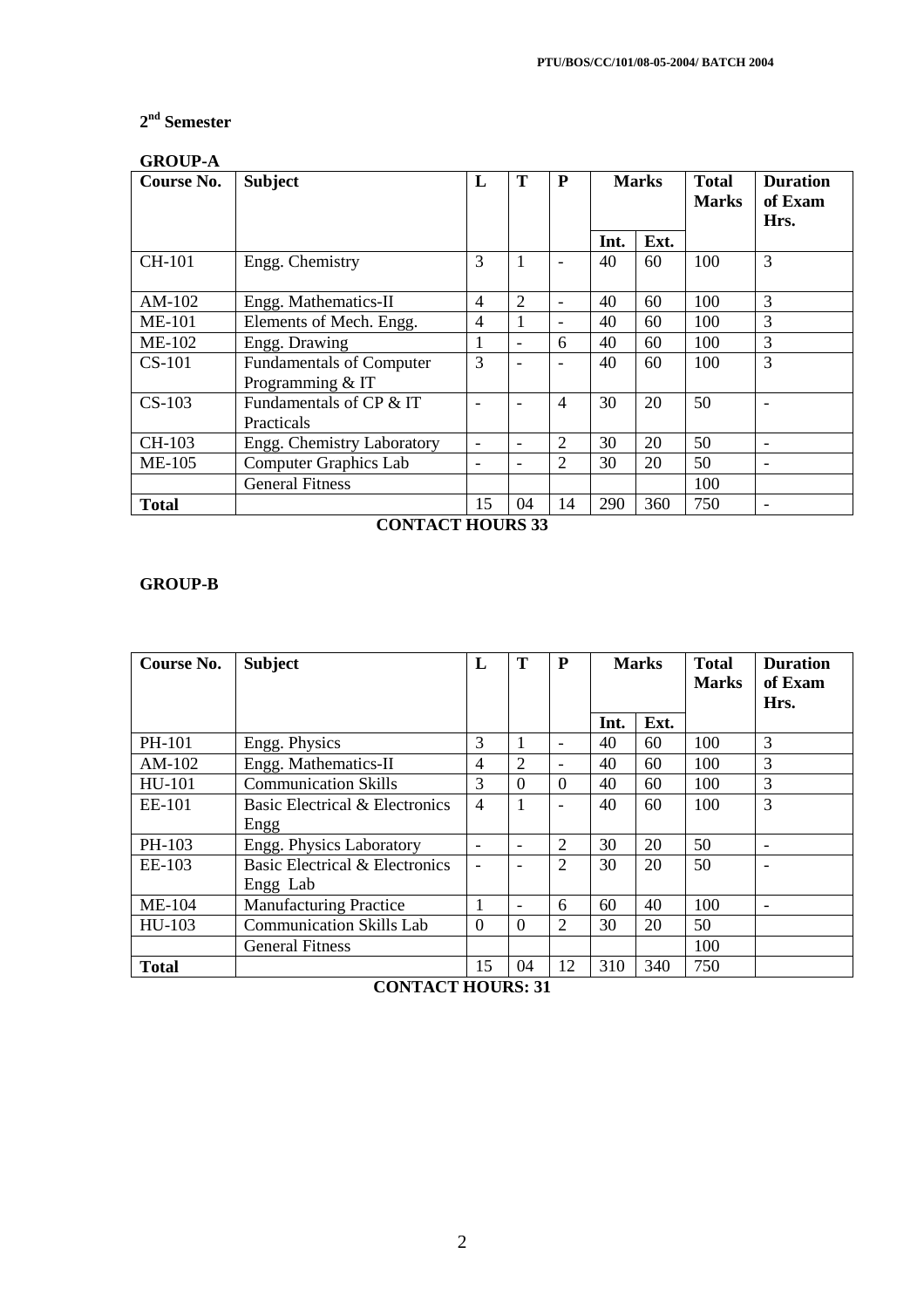# **2 nd Semester**

# **GROUP-A**

| Course No.    | <b>Subject</b>                                      | L                        | T                        | P                        | <b>Marks</b> |      | <b>Total</b><br><b>Marks</b> | <b>Duration</b><br>of Exam<br>Hrs. |
|---------------|-----------------------------------------------------|--------------------------|--------------------------|--------------------------|--------------|------|------------------------------|------------------------------------|
|               |                                                     |                          |                          |                          | Int.         | Ext. |                              |                                    |
| <b>CH-101</b> | Engg. Chemistry                                     |                          | 1                        | $\overline{\phantom{a}}$ | 40           | 60   | 100                          | 3                                  |
| $AM-102$      | Engg. Mathematics-II                                | 4                        | 2                        | $\blacksquare$           | 40           | 60   | 100                          | 3                                  |
| <b>ME-101</b> | Elements of Mech. Engg.                             | $\overline{4}$           | 1                        | $\qquad \qquad -$        | 40           | 60   | 100                          | 3                                  |
| $ME-102$      | Engg. Drawing                                       | 1                        | $\overline{\phantom{a}}$ | 6                        | 40           | 60   | 100                          | 3                                  |
| $CS-101$      | <b>Fundamentals of Computer</b><br>Programming & IT | 3                        | $\overline{\phantom{0}}$ | $\overline{\phantom{0}}$ | 40           | 60   | 100                          | 3                                  |
| $CS-103$      | Fundamentals of CP & IT<br><b>Practicals</b>        |                          |                          | $\overline{4}$           | 30           | 20   | 50                           |                                    |
| CH-103        | Engg. Chemistry Laboratory                          | $\overline{\phantom{0}}$ |                          | $\overline{2}$           | 30           | 20   | 50                           |                                    |
| <b>ME-105</b> | <b>Computer Graphics Lab</b>                        | -                        | -                        | $\overline{2}$           | 30           | 20   | 50                           |                                    |
|               | <b>General Fitness</b>                              |                          |                          |                          |              |      | 100                          |                                    |
| <b>Total</b>  |                                                     | 15                       | 04                       | 14                       | 290          | 360  | 750                          |                                    |

**CONTACT HOURS 33** 

# **GROUP-B**

| Course No.    | <b>Subject</b>                  | L              | Т              | $\mathbf{P}$             | <b>Marks</b> |      | <b>Total</b><br><b>Marks</b> | <b>Duration</b><br>of Exam<br>Hrs. |
|---------------|---------------------------------|----------------|----------------|--------------------------|--------------|------|------------------------------|------------------------------------|
|               |                                 |                |                |                          | Int.         | Ext. |                              |                                    |
| PH-101        | Engg. Physics                   | 3              |                | $\qquad \qquad -$        | 40           | 60   | 100                          | 3                                  |
| $AM-102$      | Engg. Mathematics-II            | 4              | $\overline{2}$ | $\overline{\phantom{0}}$ | 40           | 60   | 100                          | 3                                  |
| HU-101        | <b>Communication Skills</b>     | 3              | $\overline{0}$ | $\overline{0}$           | 40           | 60   | 100                          | 3                                  |
| <b>EE-101</b> | Basic Electrical & Electronics  |                | 1              | $\blacksquare$           | 40           | 60   | 100                          | 3                                  |
|               | Engg                            |                |                |                          |              |      |                              |                                    |
| PH-103        | Engg. Physics Laboratory        |                | -              | 2                        | 30           | 20   | 50                           | $\overline{\phantom{0}}$           |
| EE-103        | Basic Electrical & Electronics  |                |                | $\overline{2}$           | 30           | 20   | 50                           |                                    |
|               | Engg Lab                        |                |                |                          |              |      |                              |                                    |
| <b>ME-104</b> | <b>Manufacturing Practice</b>   |                |                | 6                        | 60           | 40   | 100                          |                                    |
| HU-103        | <b>Communication Skills Lab</b> | $\overline{0}$ | $\theta$       | $\overline{2}$           | 30           | 20   | 50                           |                                    |
|               | <b>General Fitness</b>          |                |                |                          |              |      | 100                          |                                    |
| <b>Total</b>  |                                 | 15             | 04             | 12                       | 310          | 340  | 750                          |                                    |

**CONTACT HOURS: 31**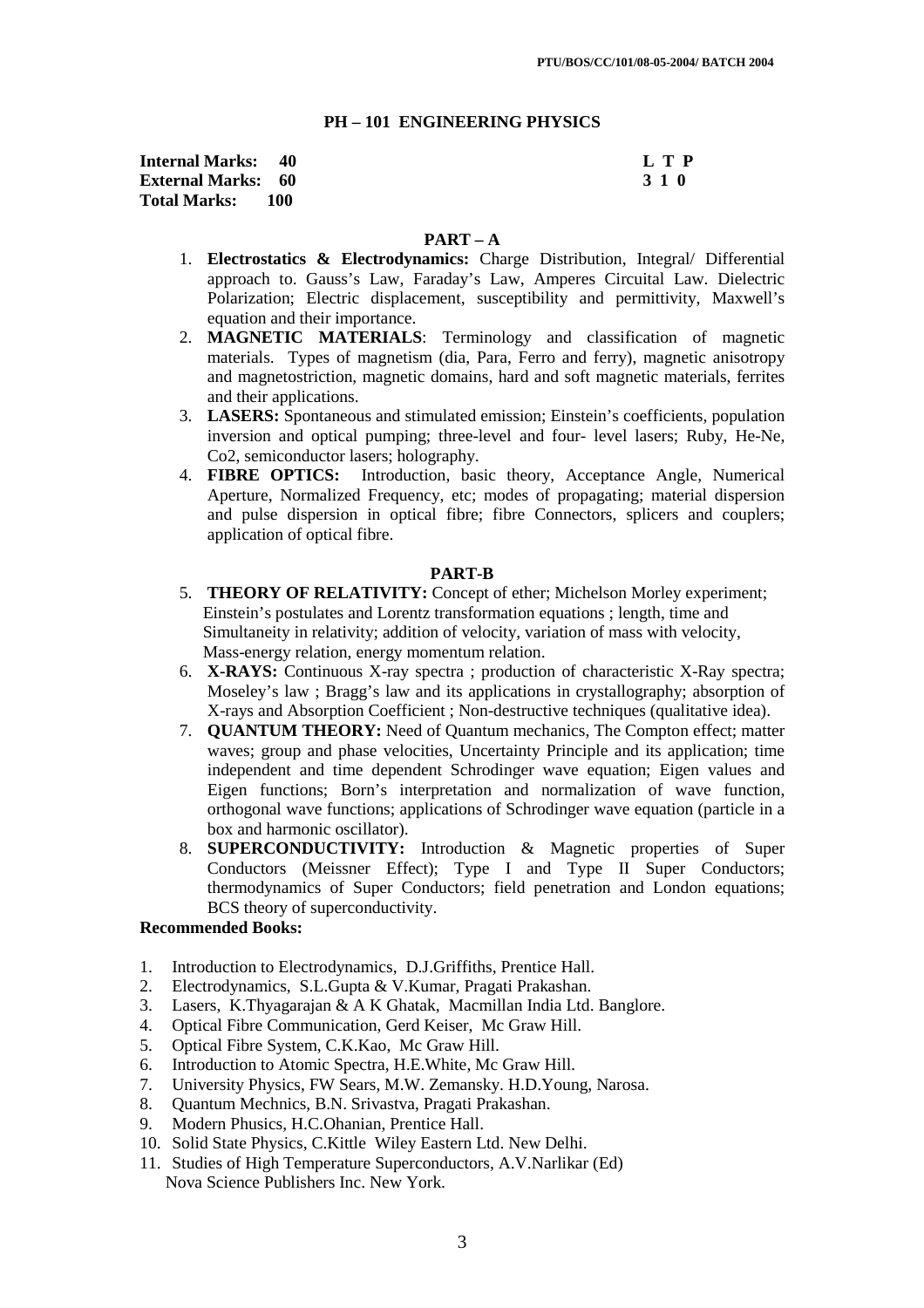#### **PH – 101 ENGINEERING PHYSICS**

| <b>Internal Marks:</b> 40 |       | L T P |
|---------------------------|-------|-------|
| <b>External Marks:</b> 60 |       | 3 1 0 |
| <b>Total Marks:</b>       | - 100 |       |

#### **PART – A**

- 1. **Electrostatics & Electrodynamics:** Charge Distribution, Integral/ Differential approach to. Gauss's Law, Faraday's Law, Amperes Circuital Law. Dielectric Polarization; Electric displacement, susceptibility and permittivity, Maxwell's equation and their importance.
- 2. **MAGNETIC MATERIALS**: Terminology and classification of magnetic materials. Types of magnetism (dia, Para, Ferro and ferry), magnetic anisotropy and magnetostriction, magnetic domains, hard and soft magnetic materials, ferrites and their applications.
- 3. **LASERS:** Spontaneous and stimulated emission; Einstein's coefficients, population inversion and optical pumping; three-level and four- level lasers; Ruby, He-Ne, Co2, semiconductor lasers; holography.
- 4. **FIBRE OPTICS:** Introduction, basic theory, Acceptance Angle, Numerical Aperture, Normalized Frequency, etc; modes of propagating; material dispersion and pulse dispersion in optical fibre; fibre Connectors, splicers and couplers; application of optical fibre.

#### **PART-B**

- 5. **THEORY OF RELATIVITY:** Concept of ether; Michelson Morley experiment; Einstein's postulates and Lorentz transformation equations ; length, time and Simultaneity in relativity; addition of velocity, variation of mass with velocity, Mass-energy relation, energy momentum relation.
- 6. **X-RAYS:** Continuous X-ray spectra ; production of characteristic X-Ray spectra; Moseley's law ; Bragg's law and its applications in crystallography; absorption of X-rays and Absorption Coefficient ; Non-destructive techniques (qualitative idea).
- 7. **QUANTUM THEORY:** Need of Quantum mechanics, The Compton effect; matter waves; group and phase velocities, Uncertainty Principle and its application; time independent and time dependent Schrodinger wave equation; Eigen values and Eigen functions; Born's interpretation and normalization of wave function, orthogonal wave functions; applications of Schrodinger wave equation (particle in a box and harmonic oscillator).
- 8. **SUPERCONDUCTIVITY:** Introduction & Magnetic properties of Super Conductors (Meissner Effect); Type I and Type II Super Conductors; thermodynamics of Super Conductors; field penetration and London equations; BCS theory of superconductivity.

# **Recommended Books:**

- 1. Introduction to Electrodynamics, D.J.Griffiths, Prentice Hall.
- 2. Electrodynamics, S.L.Gupta & V.Kumar, Pragati Prakashan.
- 3. Lasers, K.Thyagarajan & A K Ghatak, Macmillan India Ltd. Banglore.
- 4. Optical Fibre Communication, Gerd Keiser, Mc Graw Hill.
- 5. Optical Fibre System, C.K.Kao, Mc Graw Hill.
- 6. Introduction to Atomic Spectra, H.E.White, Mc Graw Hill.
- 7. University Physics, FW Sears, M.W. Zemansky. H.D.Young, Narosa.
- 8. Quantum Mechnics, B.N. Srivastva, Pragati Prakashan.<br>9. Modern Phusics, H.C.Ohanian, Prentice Hall.
- 9. Modern Phusics, H.C.Ohanian, Prentice Hall.
- 10. Solid State Physics, C.Kittle Wiley Eastern Ltd. New Delhi.
- 11. Studies of High Temperature Superconductors, A.V.Narlikar (Ed) Nova Science Publishers Inc. New York.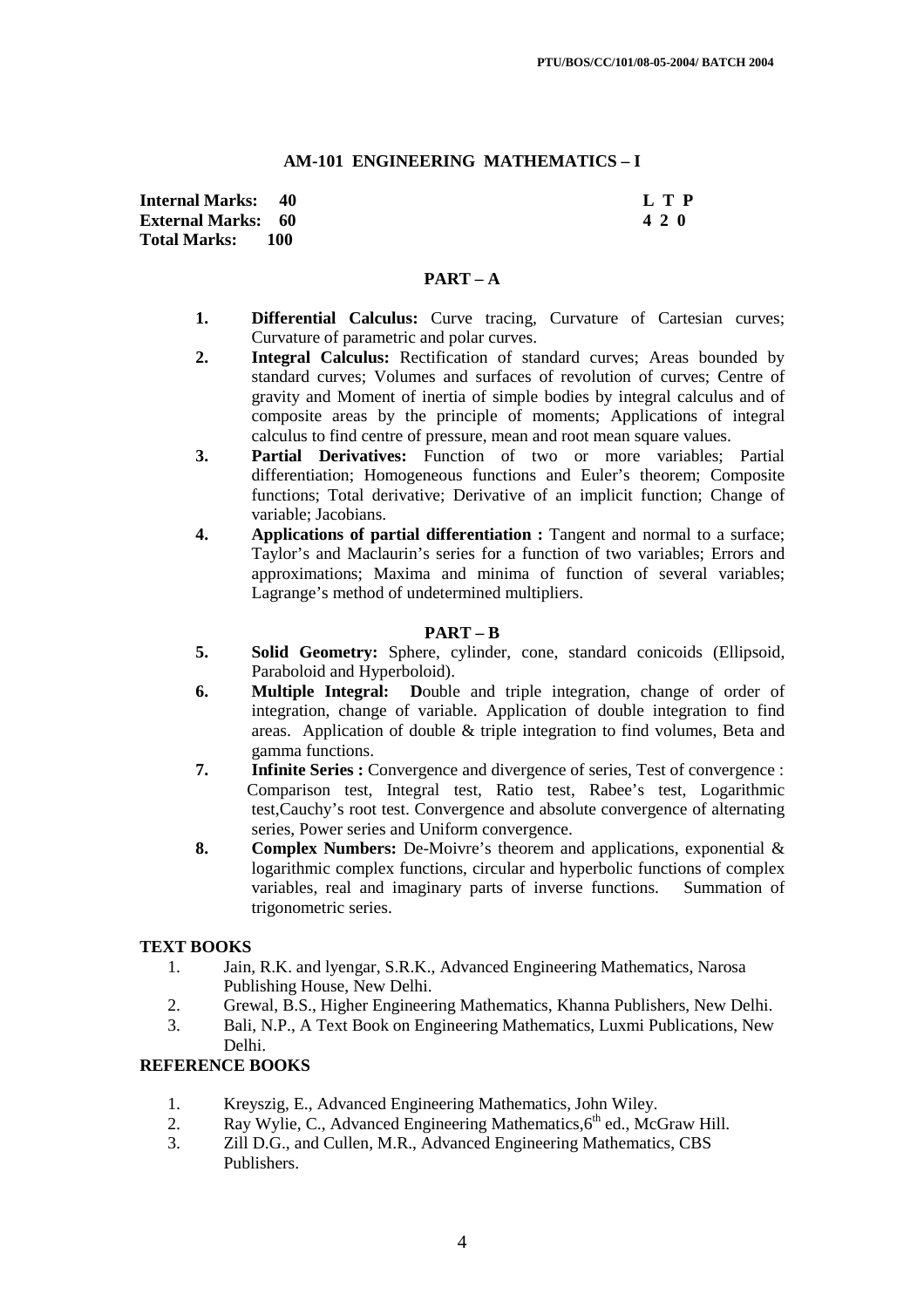## **AM-101 ENGINEERING MATHEMATICS – I**

| <b>Internal Marks: 40</b> |       | L T P |
|---------------------------|-------|-------|
| <b>External Marks:</b> 60 |       | 420   |
| <b>Total Marks:</b>       | - 100 |       |

## **PART – A**

- **1. Differential Calculus:** Curve tracing, Curvature of Cartesian curves; Curvature of parametric and polar curves.
- **2. Integral Calculus:** Rectification of standard curves; Areas bounded by standard curves; Volumes and surfaces of revolution of curves; Centre of gravity and Moment of inertia of simple bodies by integral calculus and of composite areas by the principle of moments; Applications of integral calculus to find centre of pressure, mean and root mean square values.
- **3. Partial Derivatives:** Function of two or more variables; Partial differentiation; Homogeneous functions and Euler's theorem; Composite functions; Total derivative; Derivative of an implicit function; Change of variable; Jacobians.
- **4. Applications of partial differentiation :** Tangent and normal to a surface; Taylor's and Maclaurin's series for a function of two variables; Errors and approximations; Maxima and minima of function of several variables; Lagrange's method of undetermined multipliers.

### **PART – B**

- **5. Solid Geometry:** Sphere, cylinder, cone, standard conicoids (Ellipsoid, Paraboloid and Hyperboloid).
- **6. Multiple Integral: D**ouble and triple integration, change of order of integration, change of variable. Application of double integration to find areas. Application of double & triple integration to find volumes, Beta and gamma functions.
- **7.** Infinite Series : Convergence and divergence of series, Test of convergence : Comparison test, Integral test, Ratio test, Rabee's test, Logarithmic test,Cauchy's root test. Convergence and absolute convergence of alternating series, Power series and Uniform convergence.
- **8. Complex Numbers:** De-Moivre's theorem and applications, exponential & logarithmic complex functions, circular and hyperbolic functions of complex variables, real and imaginary parts of inverse functions. Summation of trigonometric series.

## **TEXT BOOKS**

- 1. Jain, R.K. and lyengar, S.R.K., Advanced Engineering Mathematics, Narosa Publishing House, New Delhi.
- 2. Grewal, B.S., Higher Engineering Mathematics, Khanna Publishers, New Delhi.
- 3. Bali, N.P., A Text Book on Engineering Mathematics, Luxmi Publications, New Delhi.

## **REFERENCE BOOKS**

- 1. Kreyszig, E., Advanced Engineering Mathematics, John Wiley.
- 2. Ray Wylie, C., Advanced Engineering Mathematics, 6<sup>th</sup> ed., McGraw Hill.
- 3. Zill D.G., and Cullen, M.R., Advanced Engineering Mathematics, CBS Publishers.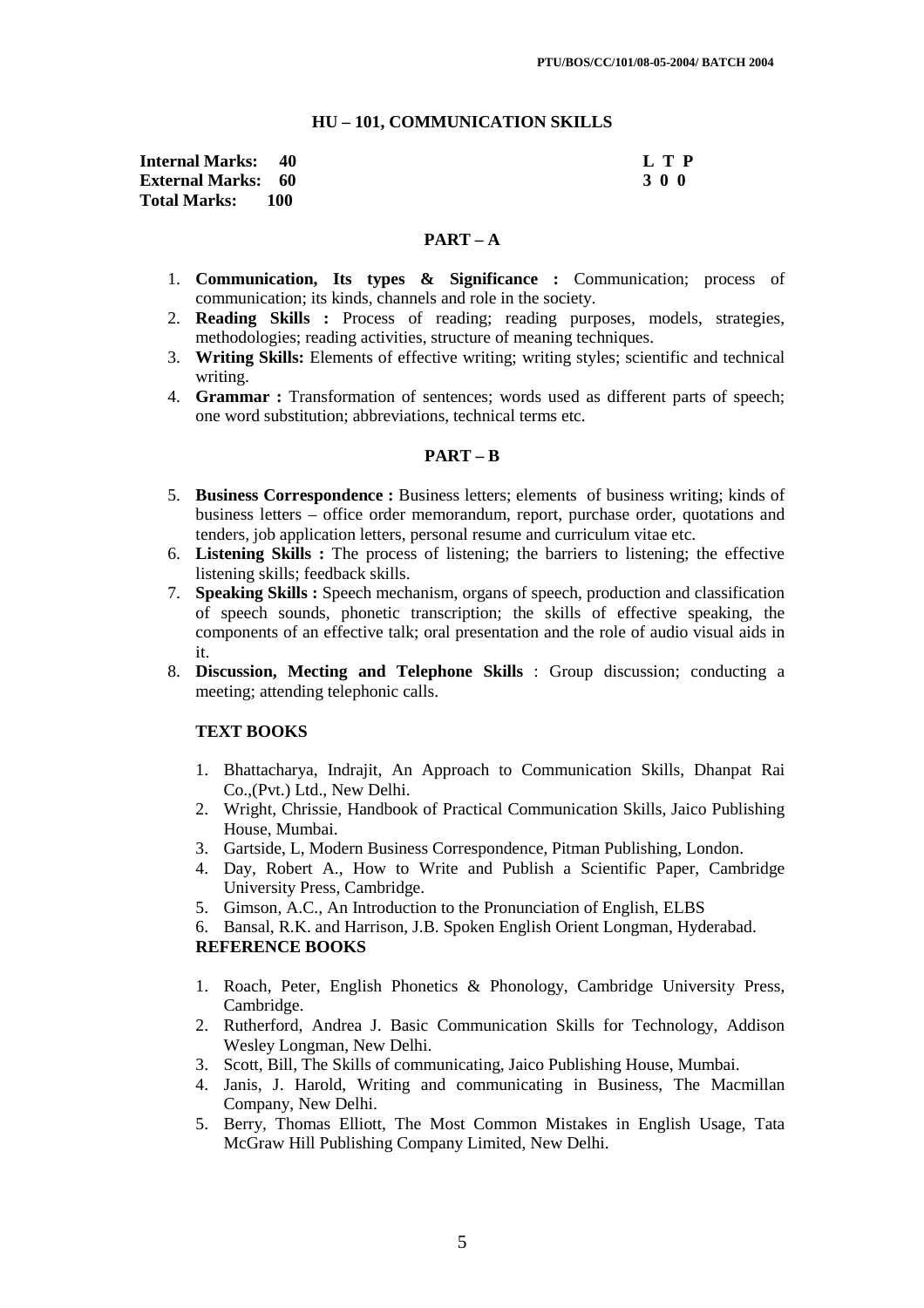#### **HU – 101, COMMUNICATION SKILLS**

| <b>Internal Marks:</b> 40 |         | L T P |
|---------------------------|---------|-------|
| <b>External Marks: 60</b> |         | 300   |
| <b>Total Marks:</b>       | - 100 - |       |

#### **PART – A**

- 1. **Communication, Its types & Significance :** Communication; process of communication; its kinds, channels and role in the society.
- 2. **Reading Skills :** Process of reading; reading purposes, models, strategies, methodologies; reading activities, structure of meaning techniques.
- 3. **Writing Skills:** Elements of effective writing; writing styles; scientific and technical writing.
- 4. **Grammar :** Transformation of sentences; words used as different parts of speech; one word substitution; abbreviations, technical terms etc.

### **PART – B**

- 5. **Business Correspondence :** Business letters; elements of business writing; kinds of business letters – office order memorandum, report, purchase order, quotations and tenders, job application letters, personal resume and curriculum vitae etc.
- 6. **Listening Skills :** The process of listening; the barriers to listening; the effective listening skills; feedback skills.
- 7. **Speaking Skills :** Speech mechanism, organs of speech, production and classification of speech sounds, phonetic transcription; the skills of effective speaking, the components of an effective talk; oral presentation and the role of audio visual aids in it.
- 8. **Discussion, Mecting and Telephone Skills** : Group discussion; conducting a meeting; attending telephonic calls.

## **TEXT BOOKS**

- 1. Bhattacharya, Indrajit, An Approach to Communication Skills, Dhanpat Rai Co.,(Pvt.) Ltd., New Delhi.
- 2. Wright, Chrissie, Handbook of Practical Communication Skills, Jaico Publishing House, Mumbai.
- 3. Gartside, L, Modern Business Correspondence, Pitman Publishing, London.
- 4. Day, Robert A., How to Write and Publish a Scientific Paper, Cambridge University Press, Cambridge.
- 5. Gimson, A.C., An Introduction to the Pronunciation of English, ELBS
- 6. Bansal, R.K. and Harrison, J.B. Spoken English Orient Longman, Hyderabad.

### **REFERENCE BOOKS**

- 1. Roach, Peter, English Phonetics & Phonology, Cambridge University Press, Cambridge.
- 2. Rutherford, Andrea J. Basic Communication Skills for Technology, Addison Wesley Longman, New Delhi.
- 3. Scott, Bill, The Skills of communicating, Jaico Publishing House, Mumbai.
- 4. Janis, J. Harold, Writing and communicating in Business, The Macmillan Company, New Delhi.
- 5. Berry, Thomas Elliott, The Most Common Mistakes in English Usage, Tata McGraw Hill Publishing Company Limited, New Delhi.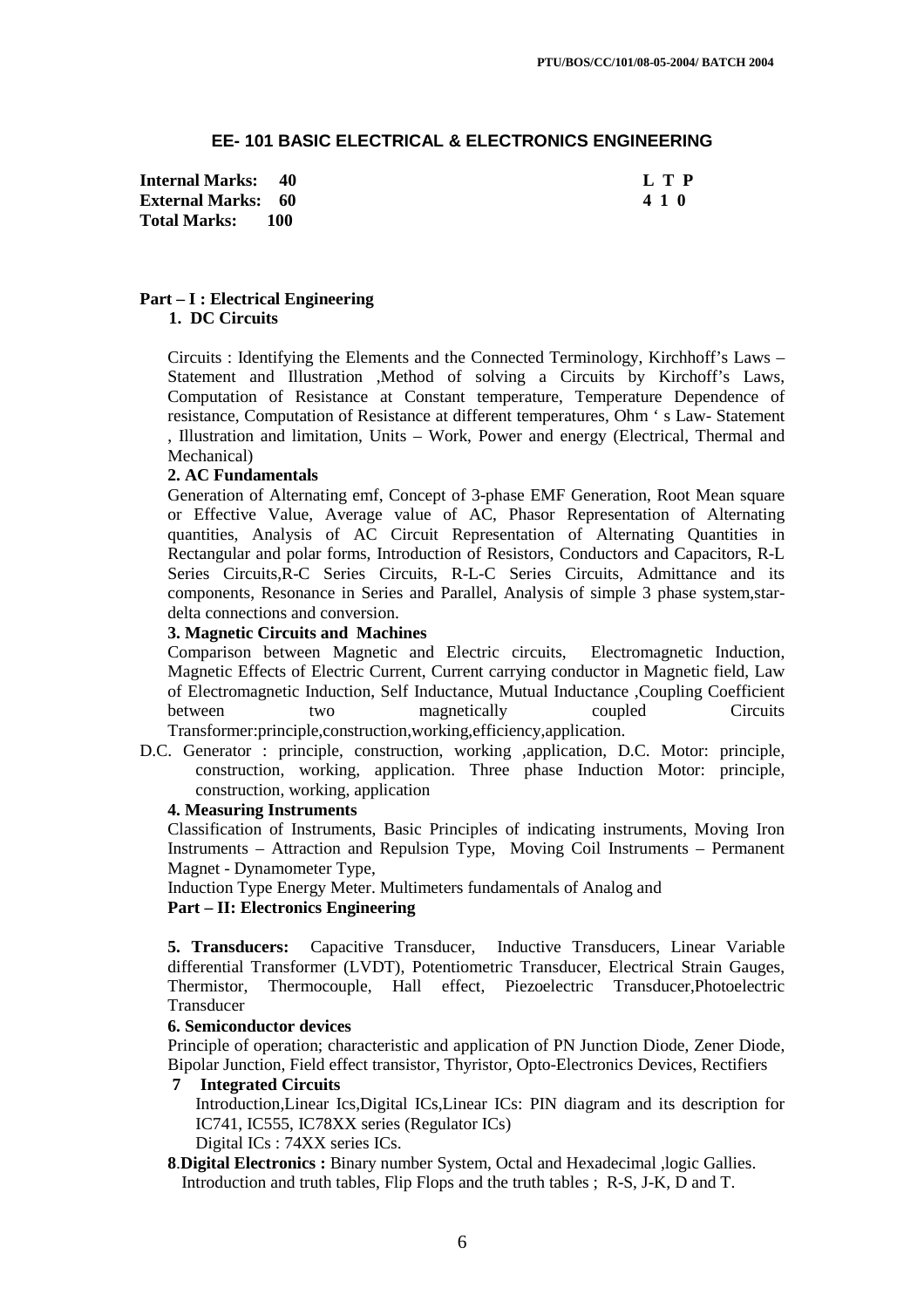## **EE- 101 BASIC ELECTRICAL & ELECTRONICS ENGINEERING**

**Internal Marks: 40 L T P L T P External Marks: 60 4 1 0 Total Marks: 100** 

### **Part – I : Electrical Engineering 1. DC Circuits**

Circuits : Identifying the Elements and the Connected Terminology, Kirchhoff's Laws – Statement and Illustration ,Method of solving a Circuits by Kirchoff's Laws, Computation of Resistance at Constant temperature, Temperature Dependence of resistance, Computation of Resistance at different temperatures, Ohm ' s Law- Statement , Illustration and limitation, Units – Work, Power and energy (Electrical, Thermal and Mechanical)

#### **2. AC Fundamentals**

Generation of Alternating emf, Concept of 3-phase EMF Generation, Root Mean square or Effective Value, Average value of AC, Phasor Representation of Alternating quantities, Analysis of AC Circuit Representation of Alternating Quantities in Rectangular and polar forms, Introduction of Resistors, Conductors and Capacitors, R-L Series Circuits,R-C Series Circuits, R-L-C Series Circuits, Admittance and its components, Resonance in Series and Parallel, Analysis of simple 3 phase system,stardelta connections and conversion.

#### **3. Magnetic Circuits and Machines**

Comparison between Magnetic and Electric circuits,Electromagnetic Induction, Magnetic Effects of Electric Current, Current carrying conductor in Magnetic field, Law of Electromagnetic Induction, Self Inductance, Mutual Inductance ,Coupling Coefficient between two magnetically coupled Circuits Transformer:principle,construction,working,efficiency,application.

D.C. Generator : principle, construction, working ,application, D.C. Motor: principle, construction, working, application. Three phase Induction Motor: principle, construction, working, application

#### **4. Measuring Instruments**

Classification of Instruments, Basic Principles of indicating instruments, Moving Iron Instruments – Attraction and Repulsion Type, Moving Coil Instruments – Permanent Magnet - Dynamometer Type,

Induction Type Energy Meter. Multimeters fundamentals of Analog and

# **Part – II: Electronics Engineering**

**5. Transducers:** Capacitive Transducer, Inductive Transducers, Linear Variable differential Transformer (LVDT), Potentiometric Transducer, Electrical Strain Gauges, Thermistor, Thermocouple, Hall effect, Piezoelectric Transducer,Photoelectric Transducer

#### **6. Semiconductor devices**

Principle of operation; characteristic and application of PN Junction Diode, Zener Diode, Bipolar Junction, Field effect transistor, Thyristor, Opto-Electronics Devices, Rectifiers

#### **7 Integrated Circuits**

Introduction,Linear Ics,Digital ICs,Linear ICs: PIN diagram and its description for IC741, IC555, IC78XX series (Regulator ICs) Digital ICs : 74XX series ICs.

**8**.**Digital Electronics :** Binary number System, Octal and Hexadecimal ,logic Gallies. Introduction and truth tables, Flip Flops and the truth tables ; R-S, J-K, D and T.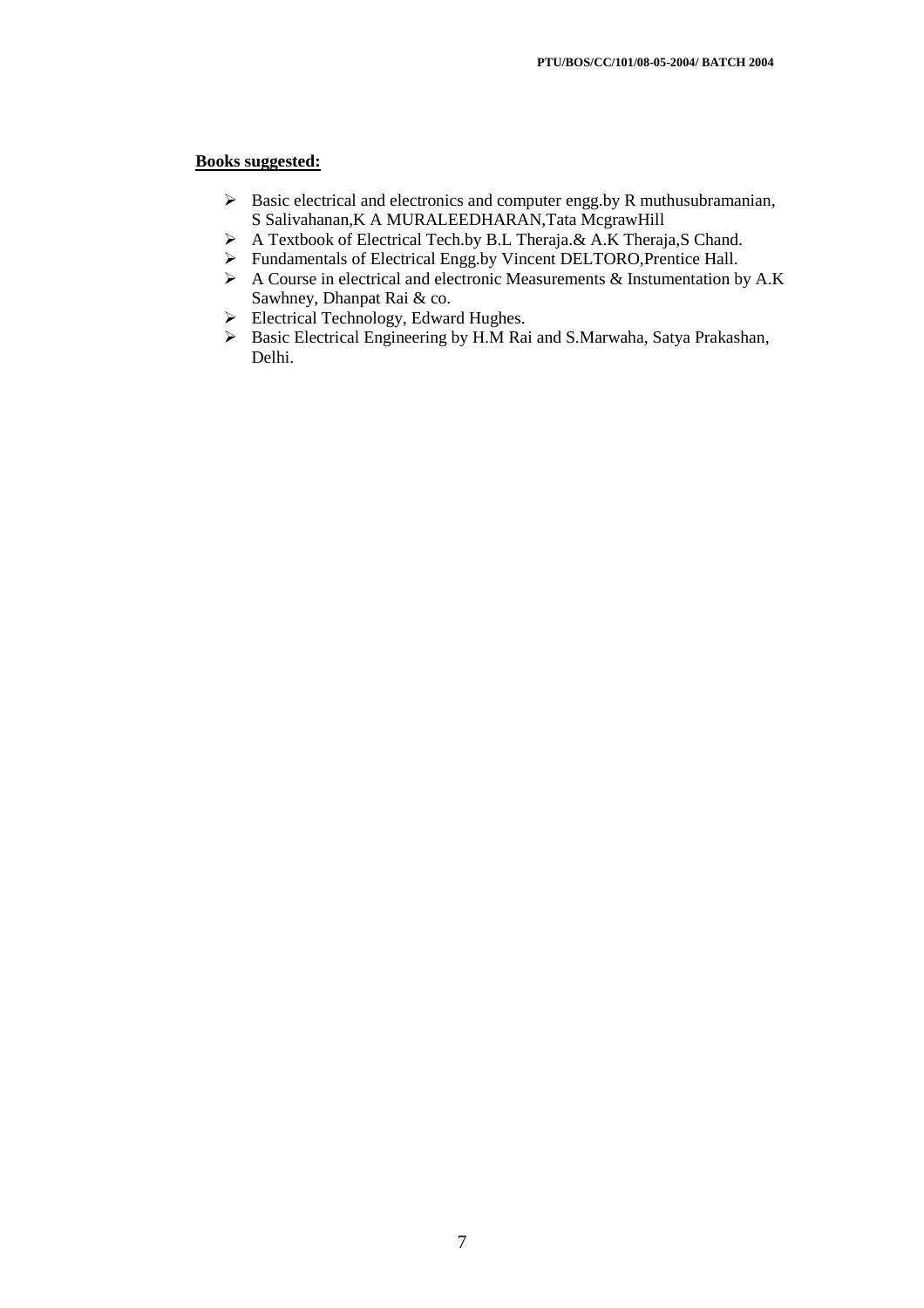### **Books suggested:**

- $\triangleright$  Basic electrical and electronics and computer engg.by R muthusubramanian, S Salivahanan,K A MURALEEDHARAN,Tata McgrawHill
- A Textbook of Electrical Tech.by B.L Theraja.& A.K Theraja,S Chand.
- Fundamentals of Electrical Engg.by Vincent DELTORO,Prentice Hall.
- $\triangleright$  A Course in electrical and electronic Measurements & Instumentation by A.K Sawhney, Dhanpat Rai & co.
- Electrical Technology, Edward Hughes.
- Basic Electrical Engineering by H.M Rai and S.Marwaha, Satya Prakashan, Delhi.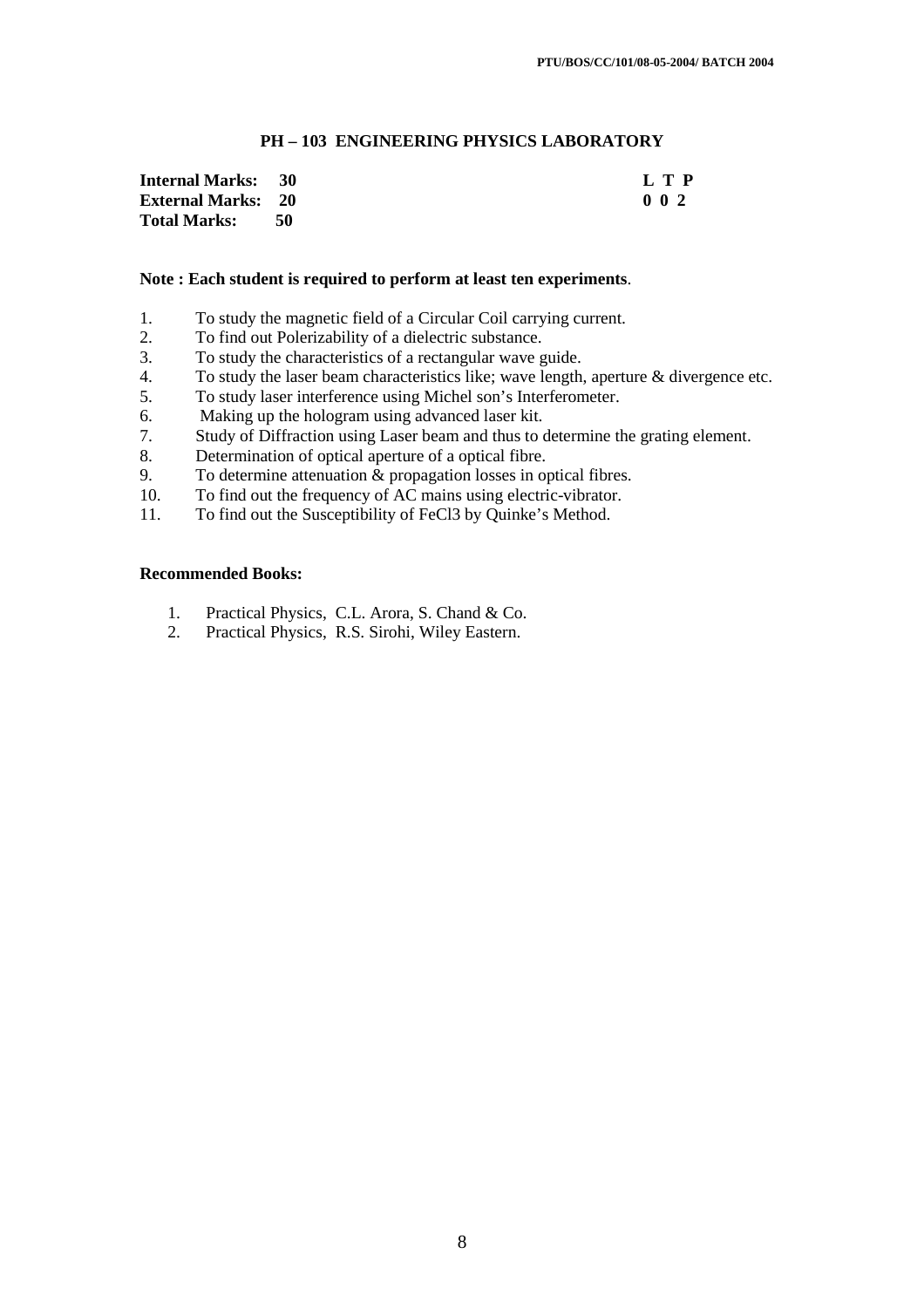## **PH – 103 ENGINEERING PHYSICS LABORATORY**

| <b>Internal Marks:</b> 30 |     | L T P            |
|---------------------------|-----|------------------|
| <b>External Marks: 20</b> |     | 0 <sub>0</sub> 2 |
| <b>Total Marks:</b>       | -50 |                  |

#### **Note : Each student is required to perform at least ten experiments**.

- 1. To study the magnetic field of a Circular Coil carrying current.
- 2. To find out Polerizability of a dielectric substance.<br>3. To study the characteristics of a rectangular wave
- To study the characteristics of a rectangular wave guide.
- 4. To study the laser beam characteristics like; wave length, aperture & divergence etc.
- 5. To study laser interference using Michel son's Interferometer.
- 6. Making up the hologram using advanced laser kit.
- 7. Study of Diffraction using Laser beam and thus to determine the grating element.
- 8. Determination of optical aperture of a optical fibre.
- 9. To determine attenuation & propagation losses in optical fibres.
- 10. To find out the frequency of AC mains using electric-vibrator.
- 11. To find out the Susceptibility of FeCl3 by Quinke's Method.

### **Recommended Books:**

- 1. Practical Physics, C.L. Arora, S. Chand & Co.
- 2. Practical Physics, R.S. Sirohi, Wiley Eastern.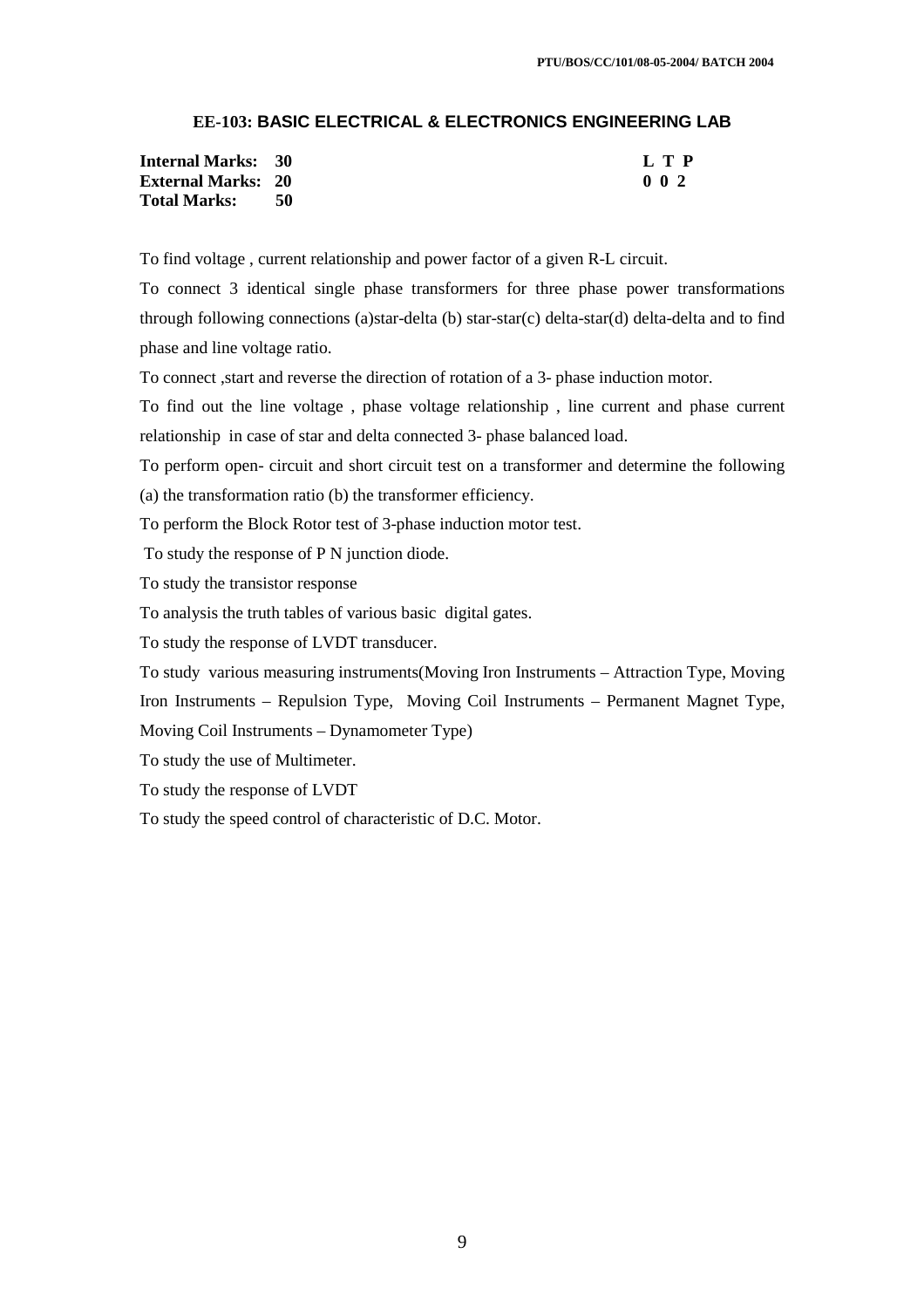# **EE-103: BASIC ELECTRICAL & ELECTRONICS ENGINEERING LAB**

| <b>Internal Marks: 30</b> |  | L T P       |
|---------------------------|--|-------------|
| <b>External Marks: 20</b> |  | $0 \t0 \t2$ |
| <b>Total Marks:</b>       |  |             |

To find voltage , current relationship and power factor of a given R-L circuit.

To connect 3 identical single phase transformers for three phase power transformations through following connections (a)star-delta (b) star-star(c) delta-star(d) delta-delta and to find phase and line voltage ratio.

To connect ,start and reverse the direction of rotation of a 3- phase induction motor.

To find out the line voltage , phase voltage relationship , line current and phase current relationship in case of star and delta connected 3- phase balanced load.

To perform open- circuit and short circuit test on a transformer and determine the following

(a) the transformation ratio (b) the transformer efficiency.

To perform the Block Rotor test of 3-phase induction motor test.

To study the response of P N junction diode.

To study the transistor response

To analysis the truth tables of various basic digital gates.

To study the response of LVDT transducer.

To study various measuring instruments(Moving Iron Instruments – Attraction Type, Moving Iron Instruments – Repulsion Type, Moving Coil Instruments – Permanent Magnet Type,

Moving Coil Instruments – Dynamometer Type)

To study the use of Multimeter.

To study the response of LVDT

To study the speed control of characteristic of D.C. Motor.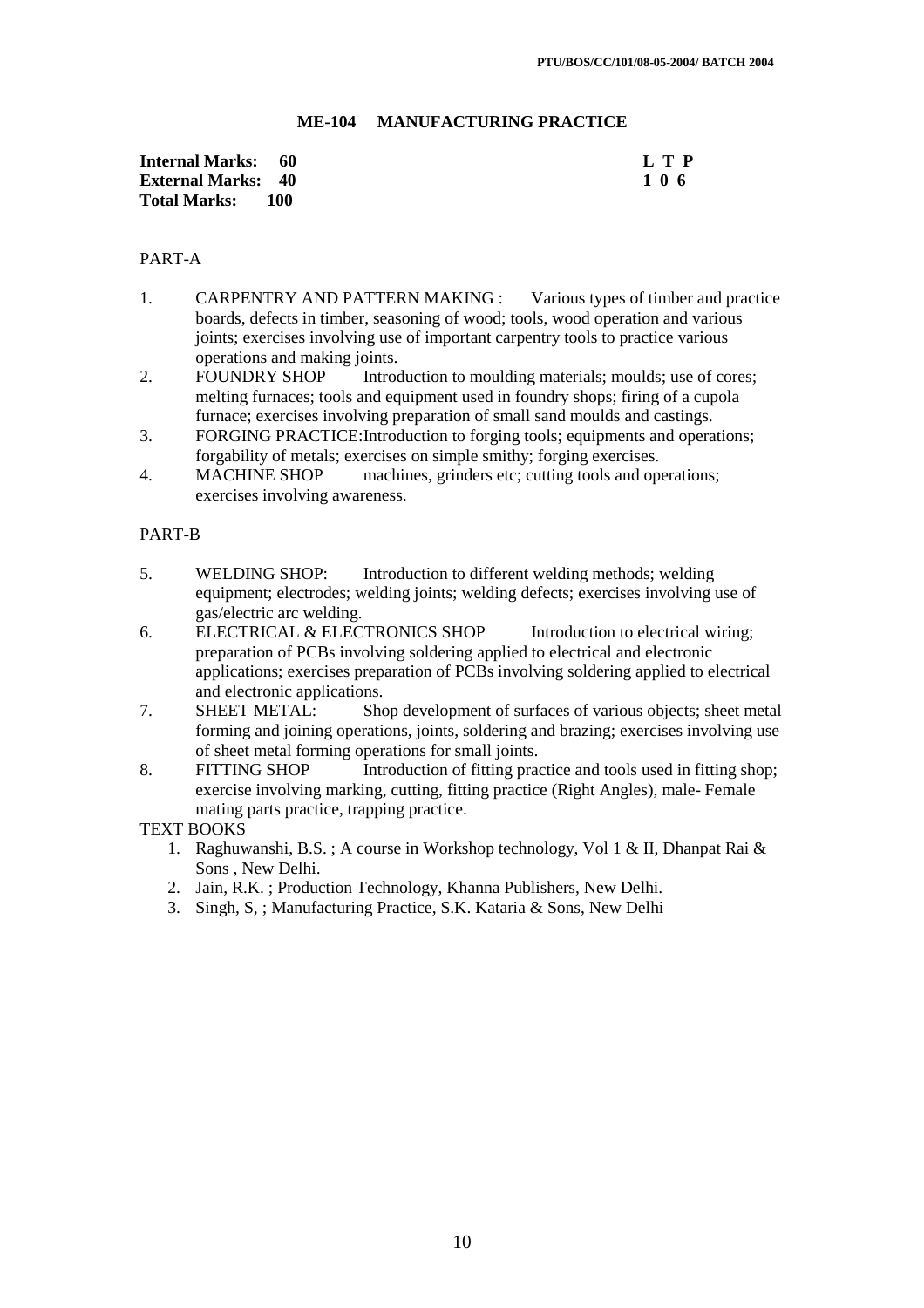## **ME-104 MANUFACTURING PRACTICE**

| Internal Marks: 60        |     | L T P |
|---------------------------|-----|-------|
| <b>External Marks: 40</b> |     | 106   |
| <b>Total Marks:</b>       | 100 |       |

## PART-A

- 1. CARPENTRY AND PATTERN MAKING : Various types of timber and practice boards, defects in timber, seasoning of wood; tools, wood operation and various joints; exercises involving use of important carpentry tools to practice various operations and making joints.
- 2. FOUNDRY SHOP Introduction to moulding materials; moulds; use of cores; melting furnaces; tools and equipment used in foundry shops; firing of a cupola furnace; exercises involving preparation of small sand moulds and castings.
- 3. FORGING PRACTICE: Introduction to forging tools; equipments and operations; forgability of metals; exercises on simple smithy; forging exercises.
- 4. MACHINE SHOP machines, grinders etc; cutting tools and operations; exercises involving awareness.

### PART-B

- 5. WELDING SHOP: Introduction to different welding methods; welding equipment; electrodes; welding joints; welding defects; exercises involving use of gas/electric arc welding.
- 6. ELECTRICAL & ELECTRONICS SHOP Introduction to electrical wiring; preparation of PCBs involving soldering applied to electrical and electronic applications; exercises preparation of PCBs involving soldering applied to electrical and electronic applications.
- 7. SHEET METAL: Shop development of surfaces of various objects; sheet metal forming and joining operations, joints, soldering and brazing; exercises involving use of sheet metal forming operations for small joints.
- 8. FITTING SHOP Introduction of fitting practice and tools used in fitting shop; exercise involving marking, cutting, fitting practice (Right Angles), male- Female mating parts practice, trapping practice.

## TEXT BOOKS

- 1. Raghuwanshi, B.S. ; A course in Workshop technology, Vol 1 & II, Dhanpat Rai & Sons , New Delhi.
- 2. Jain, R.K. ; Production Technology, Khanna Publishers, New Delhi.
- 3. Singh, S, ; Manufacturing Practice, S.K. Kataria & Sons, New Delhi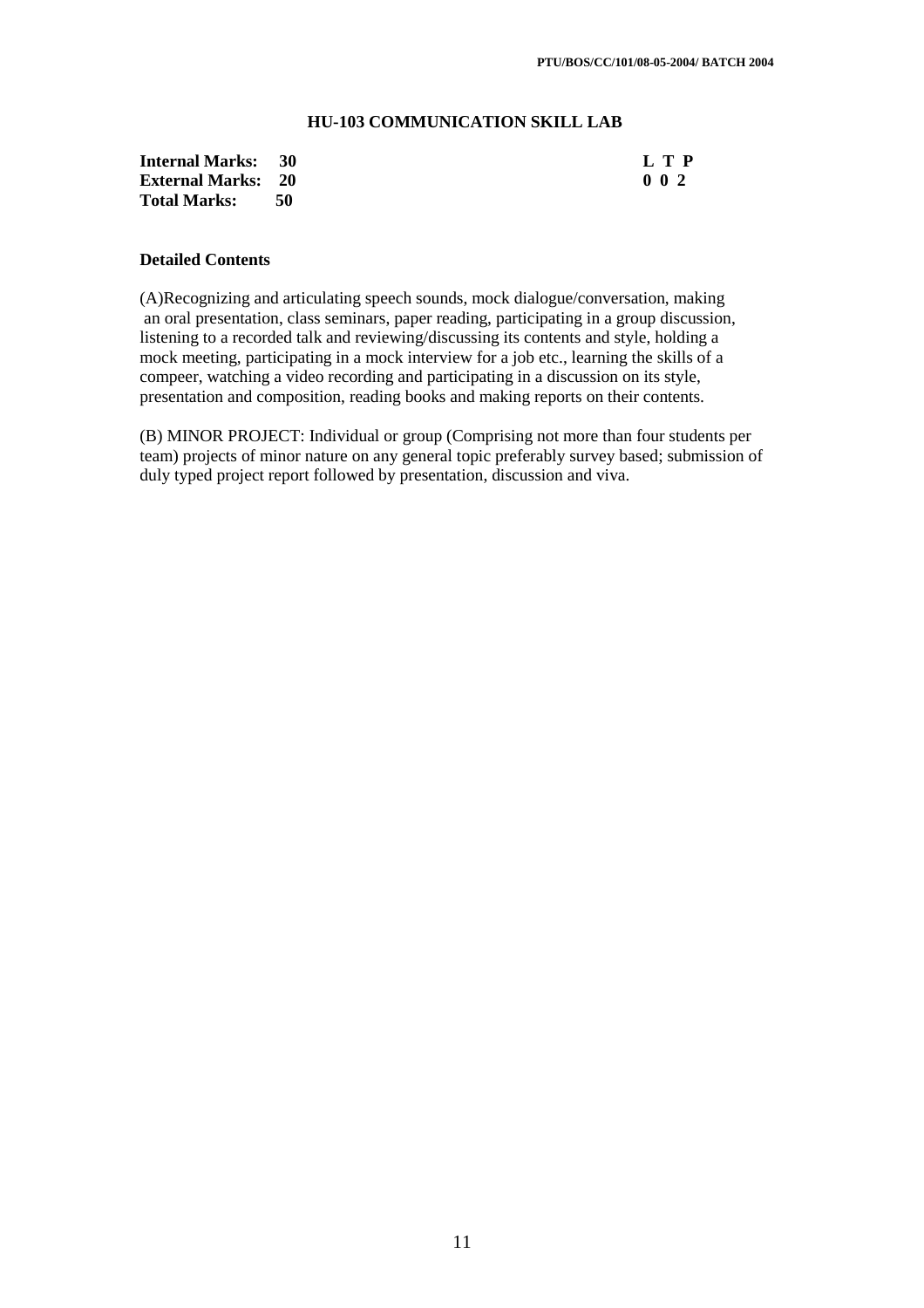### **HU-103 COMMUNICATION SKILL LAB**

| <b>Internal Marks: 30</b> |      | L T P            |
|---------------------------|------|------------------|
| <b>External Marks: 20</b> |      | 0 <sub>0</sub> 2 |
| <b>Total Marks:</b>       | - 50 |                  |

### **Detailed Contents**

(A)Recognizing and articulating speech sounds, mock dialogue/conversation, making an oral presentation, class seminars, paper reading, participating in a group discussion, listening to a recorded talk and reviewing/discussing its contents and style, holding a mock meeting, participating in a mock interview for a job etc., learning the skills of a compeer, watching a video recording and participating in a discussion on its style, presentation and composition, reading books and making reports on their contents.

(B) MINOR PROJECT: Individual or group (Comprising not more than four students per team) projects of minor nature on any general topic preferably survey based; submission of duly typed project report followed by presentation, discussion and viva.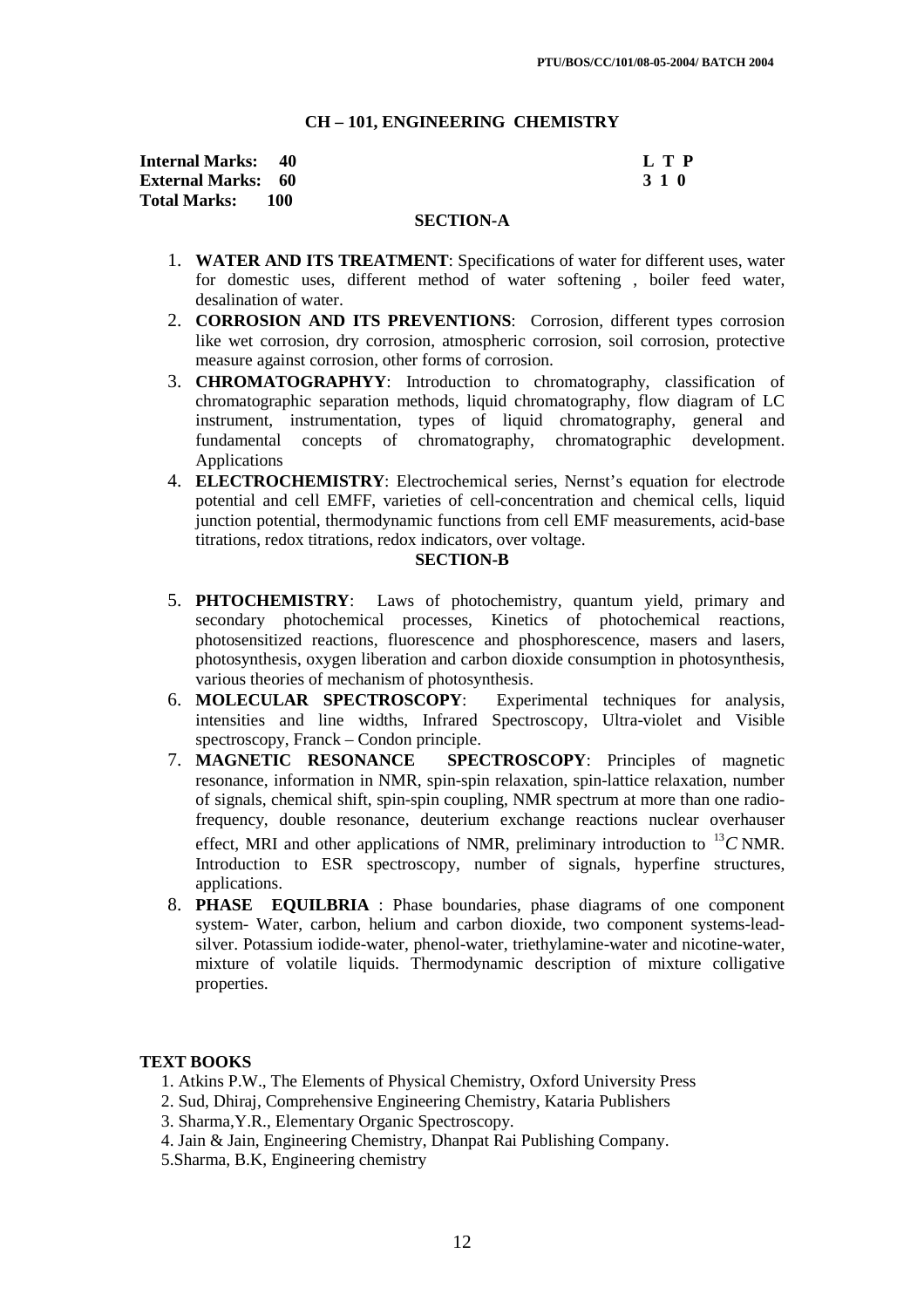#### **CH – 101, ENGINEERING CHEMISTRY**

| <b>Internal Marks: 40</b> |       | L T P |
|---------------------------|-------|-------|
| <b>External Marks: 60</b> |       | 3 1 0 |
| <b>Total Marks:</b>       | - 100 |       |

### **SECTION-A**

- 1. **WATER AND ITS TREATMENT**: Specifications of water for different uses, water for domestic uses, different method of water softening , boiler feed water, desalination of water.
- 2. **CORROSION AND ITS PREVENTIONS**: Corrosion, different types corrosion like wet corrosion, dry corrosion, atmospheric corrosion, soil corrosion, protective measure against corrosion, other forms of corrosion.
- 3. **CHROMATOGRAPHYY**: Introduction to chromatography, classification of chromatographic separation methods, liquid chromatography, flow diagram of LC instrument, instrumentation, types of liquid chromatography, general and fundamental concepts of chromatography, chromatographic development. Applications
- 4. **ELECTROCHEMISTRY**: Electrochemical series, Nernst's equation for electrode potential and cell EMFF, varieties of cell-concentration and chemical cells, liquid junction potential, thermodynamic functions from cell EMF measurements, acid-base titrations, redox titrations, redox indicators, over voltage.

#### **SECTION-B**

- 5. **PHTOCHEMISTRY**: Laws of photochemistry, quantum yield, primary and secondary photochemical processes, Kinetics of photochemical reactions, photosensitized reactions, fluorescence and phosphorescence, masers and lasers, photosynthesis, oxygen liberation and carbon dioxide consumption in photosynthesis, various theories of mechanism of photosynthesis.
- 6. **MOLECULAR SPECTROSCOPY**: Experimental techniques for analysis, intensities and line widths, Infrared Spectroscopy, Ultra-violet and Visible spectroscopy, Franck – Condon principle.
- 7. **MAGNETIC RESONANCE SPECTROSCOPY**: Principles of magnetic resonance, information in NMR, spin-spin relaxation, spin-lattice relaxation, number of signals, chemical shift, spin-spin coupling, NMR spectrum at more than one radiofrequency, double resonance, deuterium exchange reactions nuclear overhauser effect, MRI and other applications of NMR, preliminary introduction to  $^{13}C$  NMR. Introduction to ESR spectroscopy, number of signals, hyperfine structures, applications.
- 8. **PHASE EQUILBRIA** : Phase boundaries, phase diagrams of one component system- Water, carbon, helium and carbon dioxide, two component systems-leadsilver. Potassium iodide-water, phenol-water, triethylamine-water and nicotine-water, mixture of volatile liquids. Thermodynamic description of mixture colligative properties.

## **TEXT BOOKS**

- 1. Atkins P.W., The Elements of Physical Chemistry, Oxford University Press
- 2. Sud, Dhiraj, Comprehensive Engineering Chemistry, Kataria Publishers
- 3. Sharma,Y.R., Elementary Organic Spectroscopy.
- 4. Jain & Jain, Engineering Chemistry, Dhanpat Rai Publishing Company.
- 5.Sharma, B.K, Engineering chemistry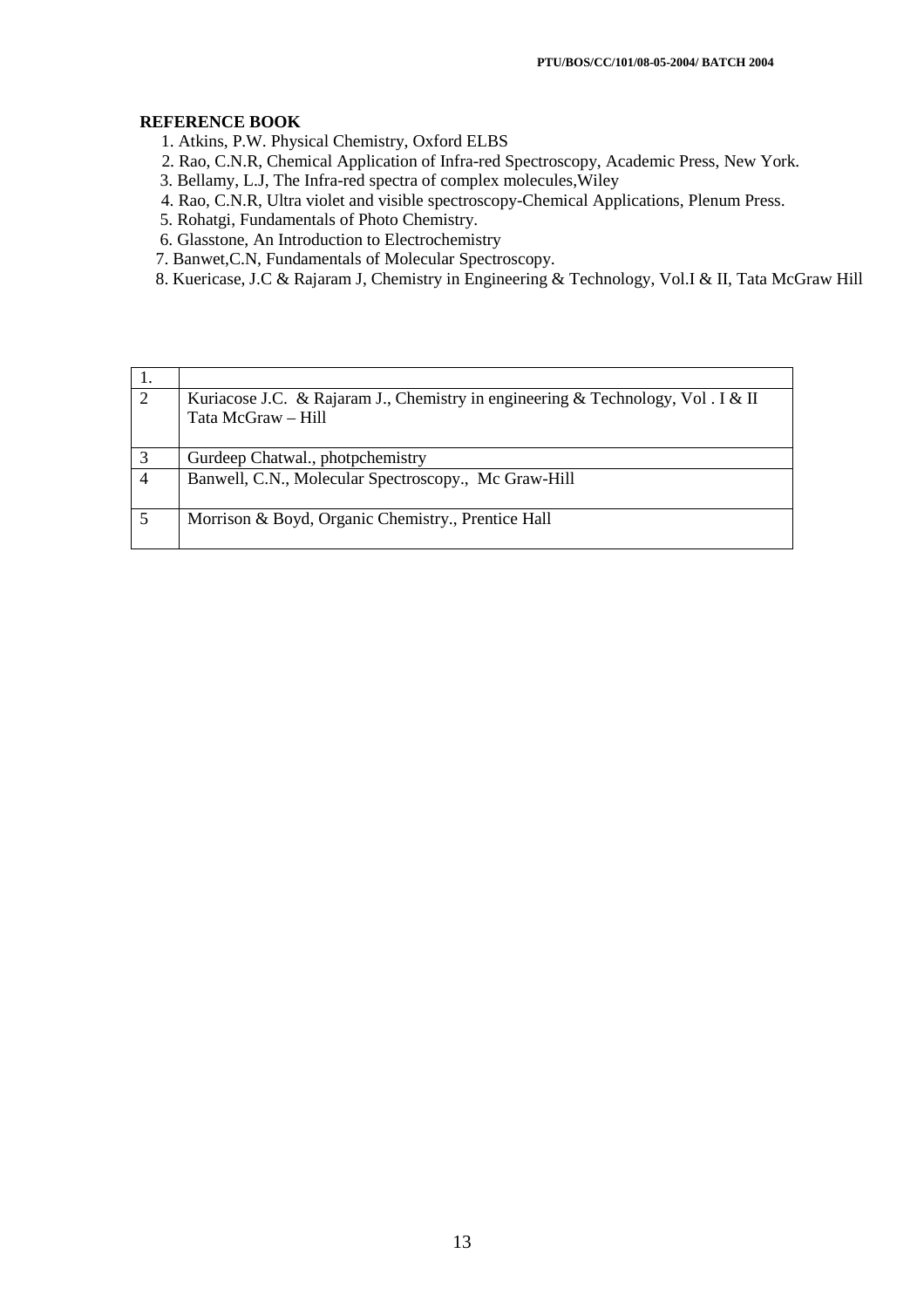## **REFERENCE BOOK**

1. Atkins, P.W. Physical Chemistry, Oxford ELBS

- 2. Rao, C.N.R, Chemical Application of Infra-red Spectroscopy, Academic Press, New York.
- 3. Bellamy, L.J, The Infra-red spectra of complex molecules,Wiley
- 4. Rao, C.N.R, Ultra violet and visible spectroscopy-Chemical Applications, Plenum Press.
- 5. Rohatgi, Fundamentals of Photo Chemistry.
- 6. Glasstone, An Introduction to Electrochemistry
- 7. Banwet,C.N, Fundamentals of Molecular Spectroscopy.
- 8. Kuericase, J.C & Rajaram J, Chemistry in Engineering & Technology, Vol.I & II, Tata McGraw Hill

| 2 | Kuriacose J.C. & Rajaram J., Chemistry in engineering & Technology, Vol. I & II<br>Tata McGraw - Hill |
|---|-------------------------------------------------------------------------------------------------------|
|   | Gurdeep Chatwal., photpchemistry                                                                      |
|   | Banwell, C.N., Molecular Spectroscopy., Mc Graw-Hill                                                  |
|   | Morrison & Boyd, Organic Chemistry., Prentice Hall                                                    |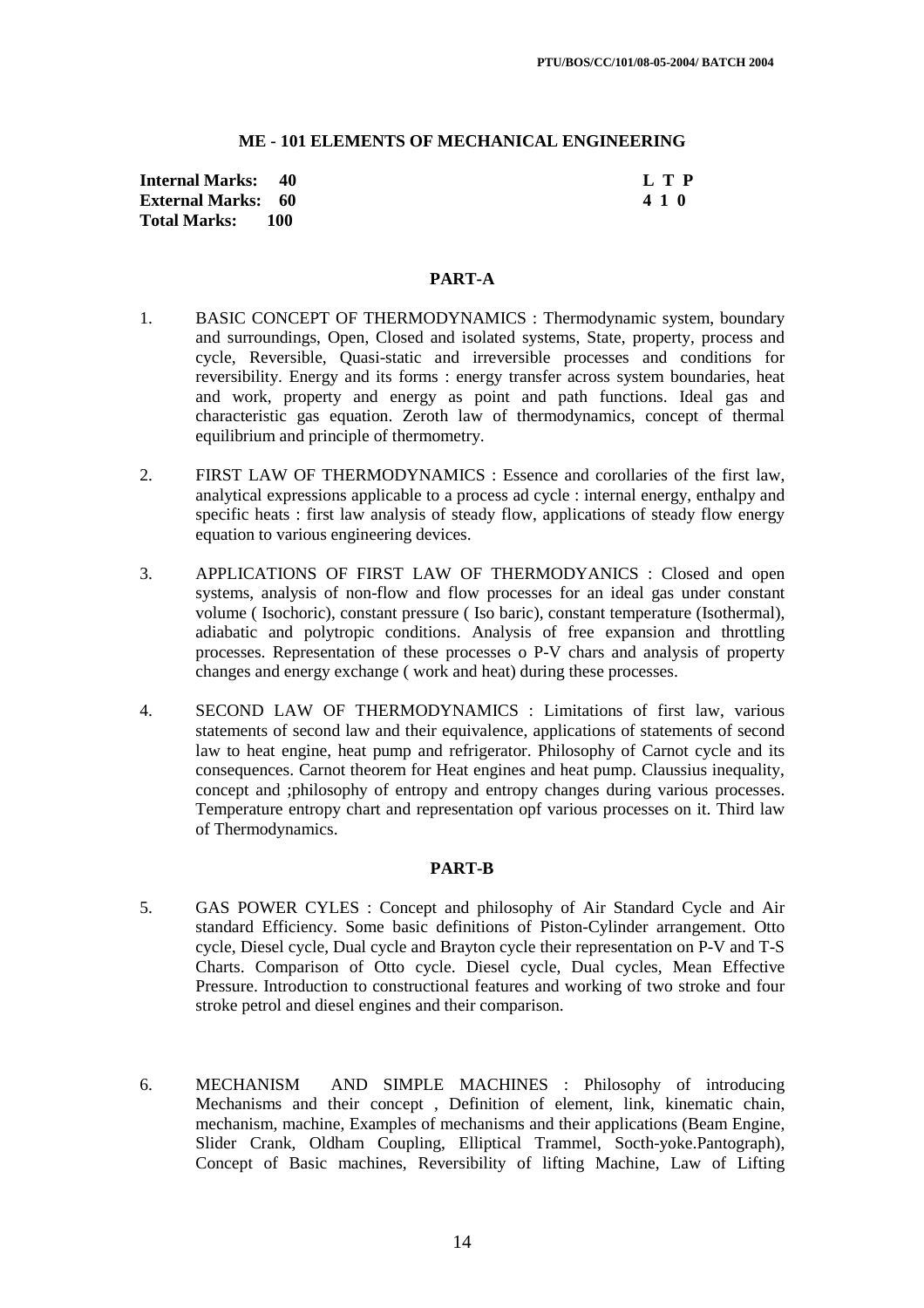### **ME - 101 ELEMENTS OF MECHANICAL ENGINEERING**

**Internal Marks: 40 L T P External Marks: 60 Total Marks: 100** 

## **PART-A**

- 1. BASIC CONCEPT OF THERMODYNAMICS : Thermodynamic system, boundary and surroundings, Open, Closed and isolated systems, State, property, process and cycle, Reversible, Quasi-static and irreversible processes and conditions for reversibility. Energy and its forms : energy transfer across system boundaries, heat and work, property and energy as point and path functions. Ideal gas and characteristic gas equation. Zeroth law of thermodynamics, concept of thermal equilibrium and principle of thermometry.
- 2. FIRST LAW OF THERMODYNAMICS : Essence and corollaries of the first law, analytical expressions applicable to a process ad cycle : internal energy, enthalpy and specific heats : first law analysis of steady flow, applications of steady flow energy equation to various engineering devices.
- 3. APPLICATIONS OF FIRST LAW OF THERMODYANICS : Closed and open systems, analysis of non-flow and flow processes for an ideal gas under constant volume ( Isochoric), constant pressure ( Iso baric), constant temperature (Isothermal), adiabatic and polytropic conditions. Analysis of free expansion and throttling processes. Representation of these processes o P-V chars and analysis of property changes and energy exchange ( work and heat) during these processes.
- 4. SECOND LAW OF THERMODYNAMICS : Limitations of first law, various statements of second law and their equivalence, applications of statements of second law to heat engine, heat pump and refrigerator. Philosophy of Carnot cycle and its consequences. Carnot theorem for Heat engines and heat pump. Claussius inequality, concept and ;philosophy of entropy and entropy changes during various processes. Temperature entropy chart and representation opf various processes on it. Third law of Thermodynamics.

### **PART-B**

- 5. GAS POWER CYLES : Concept and philosophy of Air Standard Cycle and Air standard Efficiency. Some basic definitions of Piston-Cylinder arrangement. Otto cycle, Diesel cycle, Dual cycle and Brayton cycle their representation on P-V and T-S Charts. Comparison of Otto cycle. Diesel cycle, Dual cycles, Mean Effective Pressure. Introduction to constructional features and working of two stroke and four stroke petrol and diesel engines and their comparison.
- 6. MECHANISM AND SIMPLE MACHINES : Philosophy of introducing Mechanisms and their concept , Definition of element, link, kinematic chain, mechanism, machine, Examples of mechanisms and their applications (Beam Engine, Slider Crank, Oldham Coupling, Elliptical Trammel, Socth-yoke.Pantograph), Concept of Basic machines, Reversibility of lifting Machine, Law of Lifting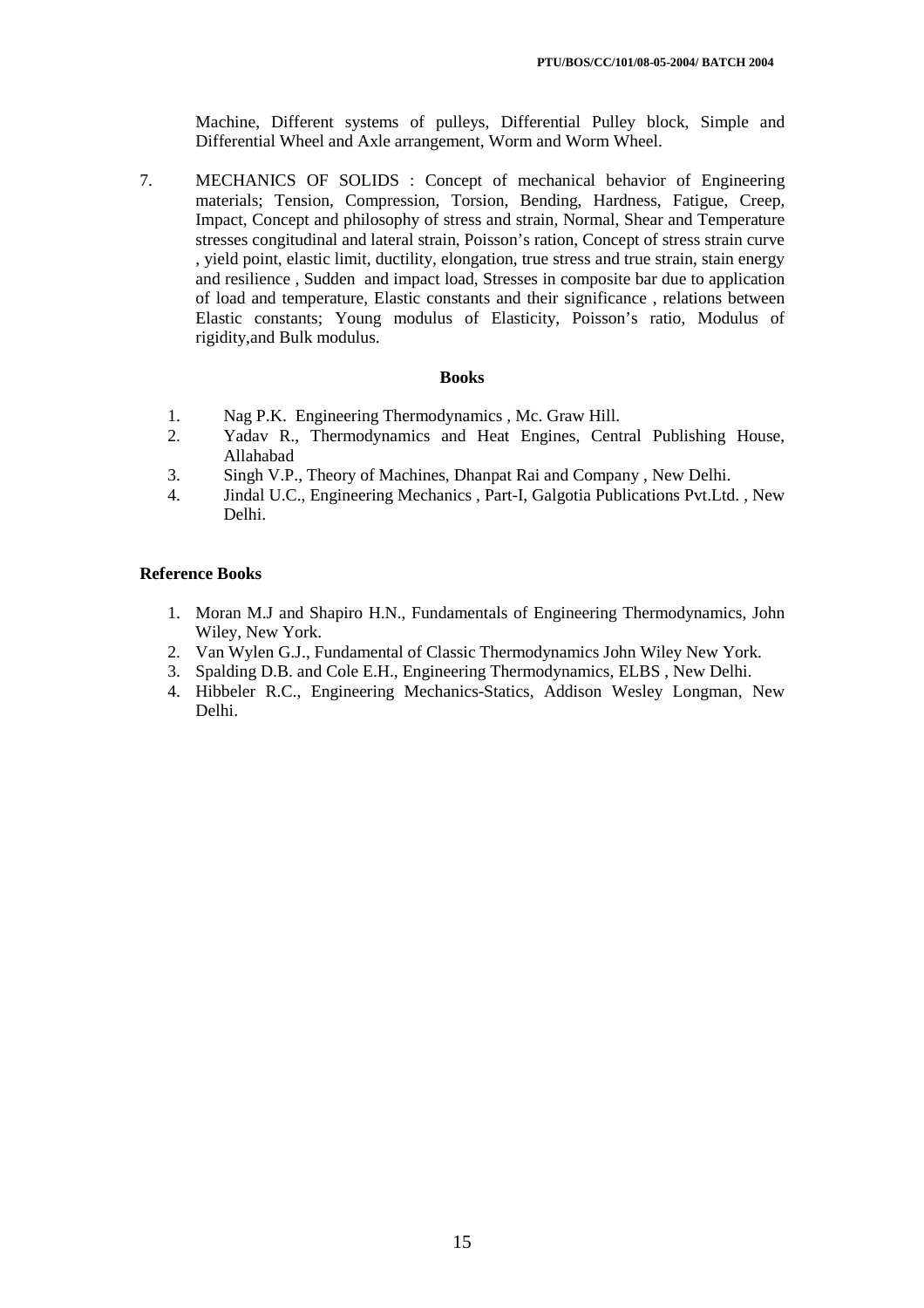Machine, Different systems of pulleys, Differential Pulley block, Simple and Differential Wheel and Axle arrangement, Worm and Worm Wheel.

7. MECHANICS OF SOLIDS : Concept of mechanical behavior of Engineering materials; Tension, Compression, Torsion, Bending, Hardness, Fatigue, Creep, Impact, Concept and philosophy of stress and strain, Normal, Shear and Temperature stresses congitudinal and lateral strain, Poisson's ration, Concept of stress strain curve , yield point, elastic limit, ductility, elongation, true stress and true strain, stain energy and resilience , Sudden and impact load, Stresses in composite bar due to application of load and temperature, Elastic constants and their significance , relations between Elastic constants; Young modulus of Elasticity, Poisson's ratio, Modulus of rigidity,and Bulk modulus.

#### **Books**

- 1. Nag P.K. Engineering Thermodynamics , Mc. Graw Hill.
- 2. Yadav R., Thermodynamics and Heat Engines, Central Publishing House, Allahabad
- 3. Singh V.P., Theory of Machines, Dhanpat Rai and Company , New Delhi.
- 4. Jindal U.C., Engineering Mechanics , Part-I, Galgotia Publications Pvt.Ltd. , New Delhi.

## **Reference Books**

- 1. Moran M.J and Shapiro H.N., Fundamentals of Engineering Thermodynamics, John Wiley, New York.
- 2. Van Wylen G.J., Fundamental of Classic Thermodynamics John Wiley New York.
- 3. Spalding D.B. and Cole E.H., Engineering Thermodynamics, ELBS , New Delhi.
- 4. Hibbeler R.C., Engineering Mechanics-Statics, Addison Wesley Longman, New Delhi.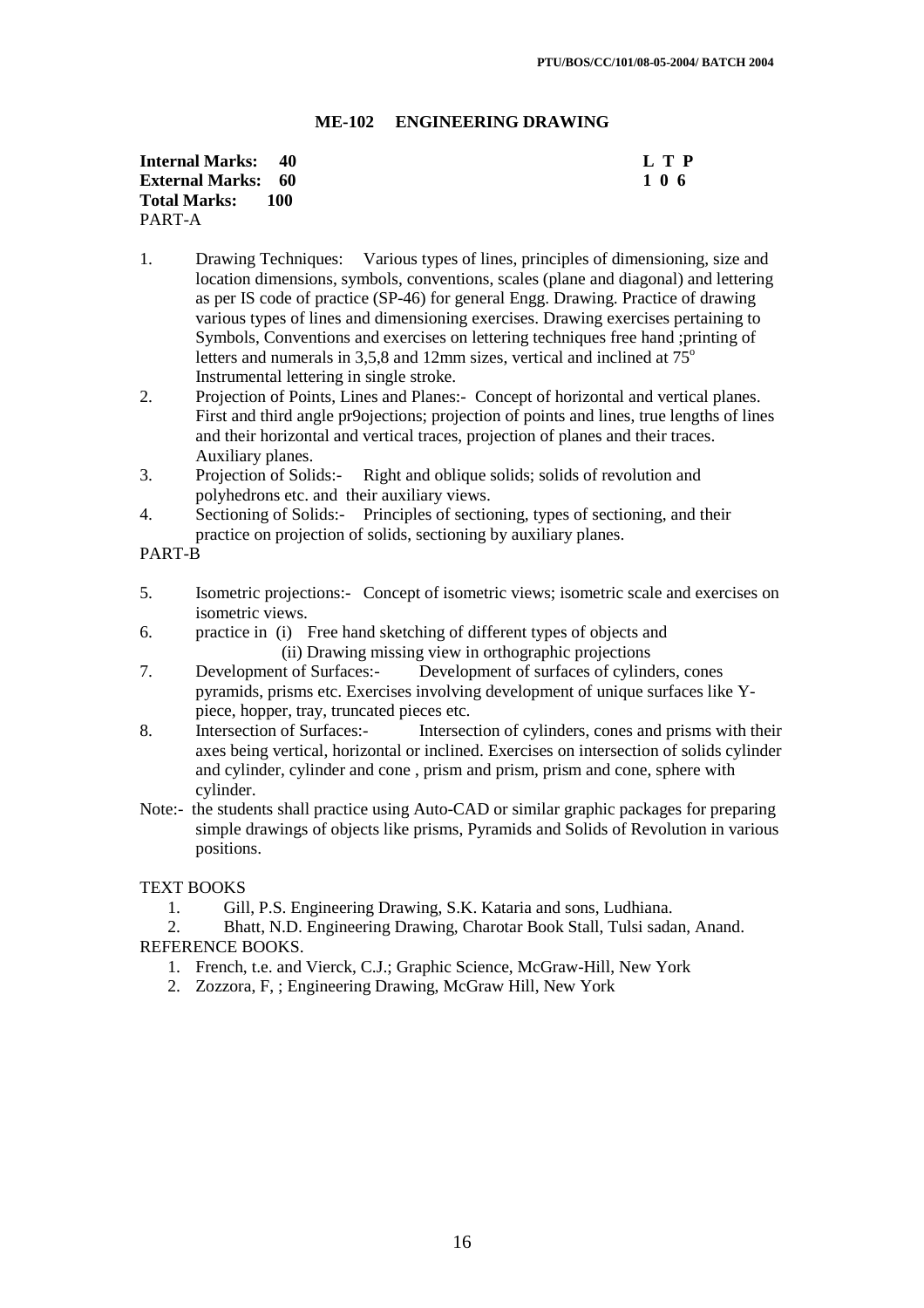## **ME-102 ENGINEERING DRAWING**

| <b>Internal Marks:</b> 40 |     | $\mathbf{L} \mathbf{T} \mathbf{P}$ |
|---------------------------|-----|------------------------------------|
| <b>External Marks: 60</b> |     | 106                                |
| <b>Total Marks:</b>       | 100 |                                    |
| PART-A                    |     |                                    |

- 1. Drawing Techniques: Various types of lines, principles of dimensioning, size and location dimensions, symbols, conventions, scales (plane and diagonal) and lettering as per IS code of practice (SP-46) for general Engg. Drawing. Practice of drawing various types of lines and dimensioning exercises. Drawing exercises pertaining to Symbols, Conventions and exercises on lettering techniques free hand ;printing of letters and numerals in  $3.5,8$  and 12mm sizes, vertical and inclined at  $75^\circ$ Instrumental lettering in single stroke.
- 2. Projection of Points, Lines and Planes:- Concept of horizontal and vertical planes. First and third angle pr9ojections; projection of points and lines, true lengths of lines and their horizontal and vertical traces, projection of planes and their traces. Auxiliary planes.
- 3. Projection of Solids:- Right and oblique solids; solids of revolution and polyhedrons etc. and their auxiliary views.
- 4. Sectioning of Solids:- Principles of sectioning, types of sectioning, and their practice on projection of solids, sectioning by auxiliary planes.

PART-B

- 5. Isometric projections:- Concept of isometric views; isometric scale and exercises on isometric views.
- 6. practice in (i) Free hand sketching of different types of objects and (ii) Drawing missing view in orthographic projections<br>7. Development of Surfaces:- Development of surfaces of cylind
- Development of Surfaces:- Development of surfaces of cylinders, cones pyramids, prisms etc. Exercises involving development of unique surfaces like Ypiece, hopper, tray, truncated pieces etc.
- 8. Intersection of Surfaces:- Intersection of cylinders, cones and prisms with their axes being vertical, horizontal or inclined. Exercises on intersection of solids cylinder and cylinder, cylinder and cone , prism and prism, prism and cone, sphere with cylinder.
- Note:- the students shall practice using Auto-CAD or similar graphic packages for preparing simple drawings of objects like prisms, Pyramids and Solids of Revolution in various positions.

## TEXT BOOKS

1. Gill, P.S. Engineering Drawing, S.K. Kataria and sons, Ludhiana.

2. Bhatt, N.D. Engineering Drawing, Charotar Book Stall, Tulsi sadan, Anand. REFERENCE BOOKS.

- 1. French, t.e. and Vierck, C.J.; Graphic Science, McGraw-Hill, New York
- 2. Zozzora, F, ; Engineering Drawing, McGraw Hill, New York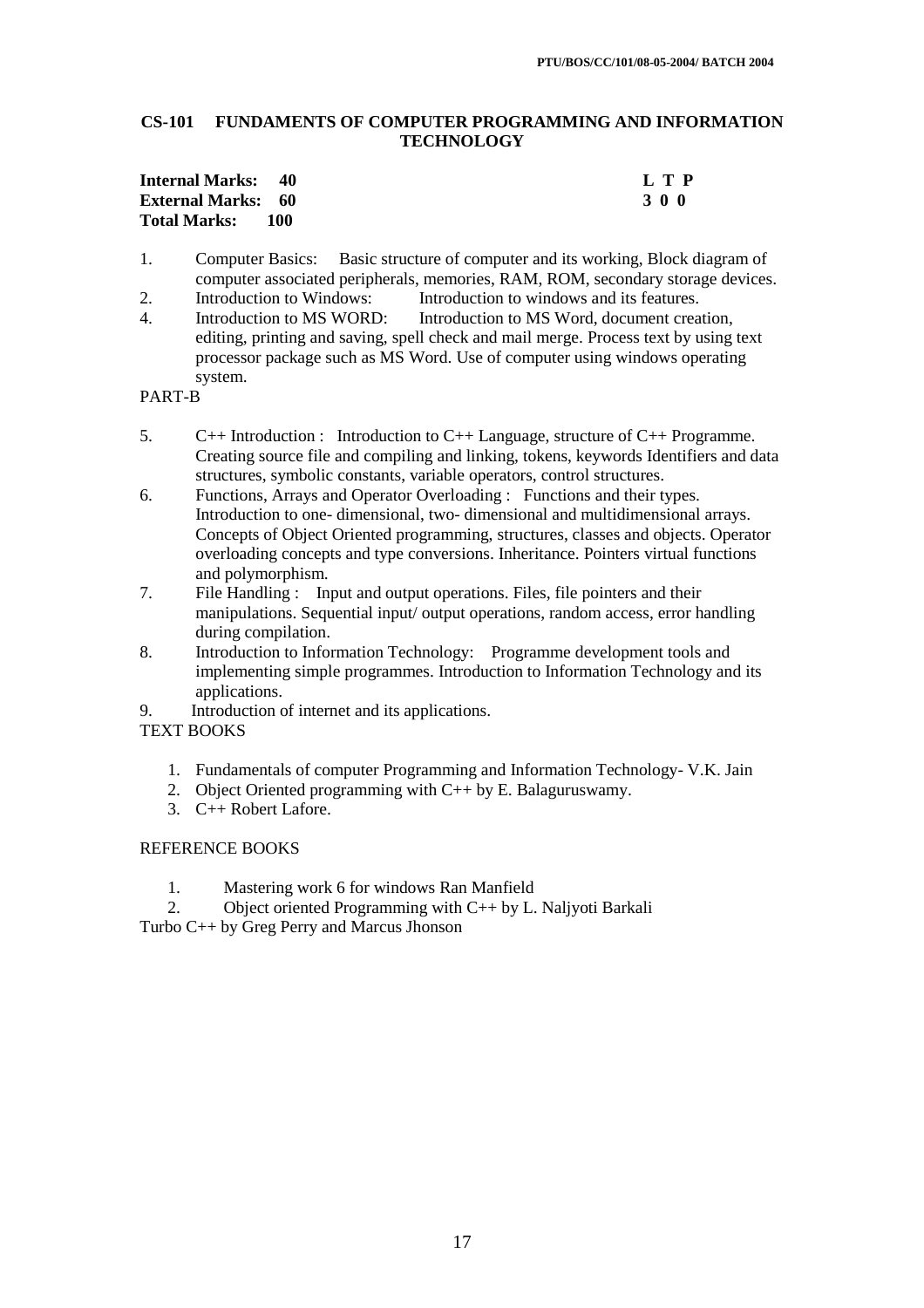## **CS-101 FUNDAMENTS OF COMPUTER PROGRAMMING AND INFORMATION TECHNOLOGY**

| <b>Internal Marks:</b> 40 |     | L T P |
|---------------------------|-----|-------|
| <b>External Marks: 60</b> |     | 300   |
| <b>Total Marks:</b>       | 100 |       |

- 1. Computer Basics: Basic structure of computer and its working, Block diagram of computer associated peripherals, memories, RAM, ROM, secondary storage devices.<br>Introduction to Windows: Introduction to windows and its features.
- 2. Introduction to Windows: Introduction to windows and its features.
- 4. Introduction to MS WORD: Introduction to MS Word, document creation, editing, printing and saving, spell check and mail merge. Process text by using text processor package such as MS Word. Use of computer using windows operating system.

PART-B

- 5. C++ Introduction : Introduction to C++ Language, structure of C++ Programme. Creating source file and compiling and linking, tokens, keywords Identifiers and data structures, symbolic constants, variable operators, control structures.
- 6. Functions, Arrays and Operator Overloading : Functions and their types. Introduction to one- dimensional, two- dimensional and multidimensional arrays. Concepts of Object Oriented programming, structures, classes and objects. Operator overloading concepts and type conversions. Inheritance. Pointers virtual functions and polymorphism.
- 7. File Handling : Input and output operations. Files, file pointers and their manipulations. Sequential input/ output operations, random access, error handling during compilation.
- 8. Introduction to Information Technology: Programme development tools and implementing simple programmes. Introduction to Information Technology and its applications.
- 9. Introduction of internet and its applications.

TEXT BOOKS

- 1. Fundamentals of computer Programming and Information Technology- V.K. Jain
- 2. Object Oriented programming with C++ by E. Balaguruswamy.
- 3. C++ Robert Lafore.

## REFERENCE BOOKS

1. Mastering work 6 for windows Ran Manfield

2. Object oriented Programming with C++ by L. Naljyoti Barkali

Turbo C++ by Greg Perry and Marcus Jhonson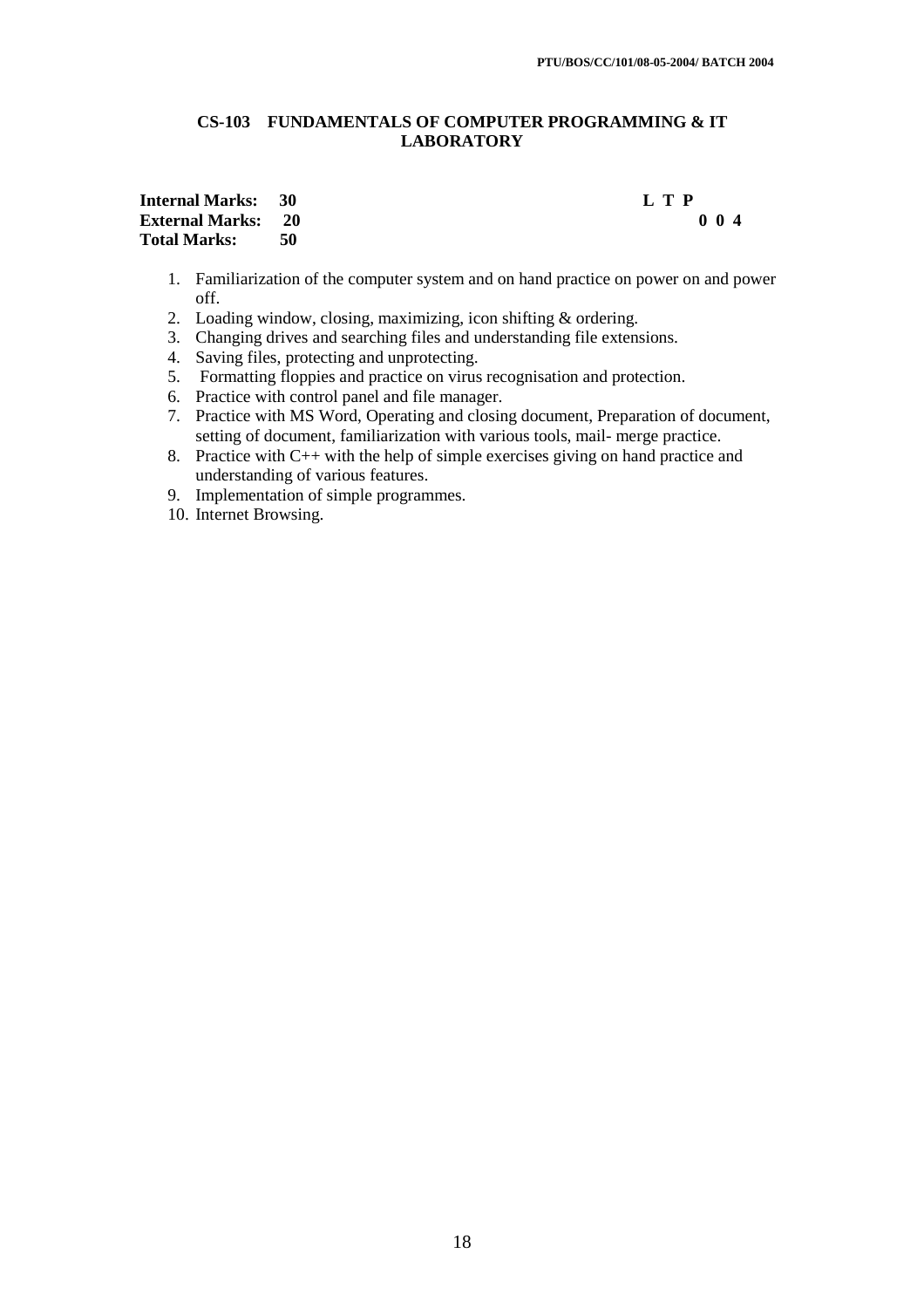## **CS-103 FUNDAMENTALS OF COMPUTER PROGRAMMING & IT LABORATORY**

## **Internal Marks: 30 L T P External Marks: 20 Total Marks: 50**

- 1. Familiarization of the computer system and on hand practice on power on and power off.
- 2. Loading window, closing, maximizing, icon shifting & ordering.
- 3. Changing drives and searching files and understanding file extensions.
- 4. Saving files, protecting and unprotecting.
- 5. Formatting floppies and practice on virus recognisation and protection.
- 6. Practice with control panel and file manager.
- 7. Practice with MS Word, Operating and closing document, Preparation of document, setting of document, familiarization with various tools, mail- merge practice.
- 8. Practice with C++ with the help of simple exercises giving on hand practice and understanding of various features.
- 9. Implementation of simple programmes.
- 10. Internet Browsing.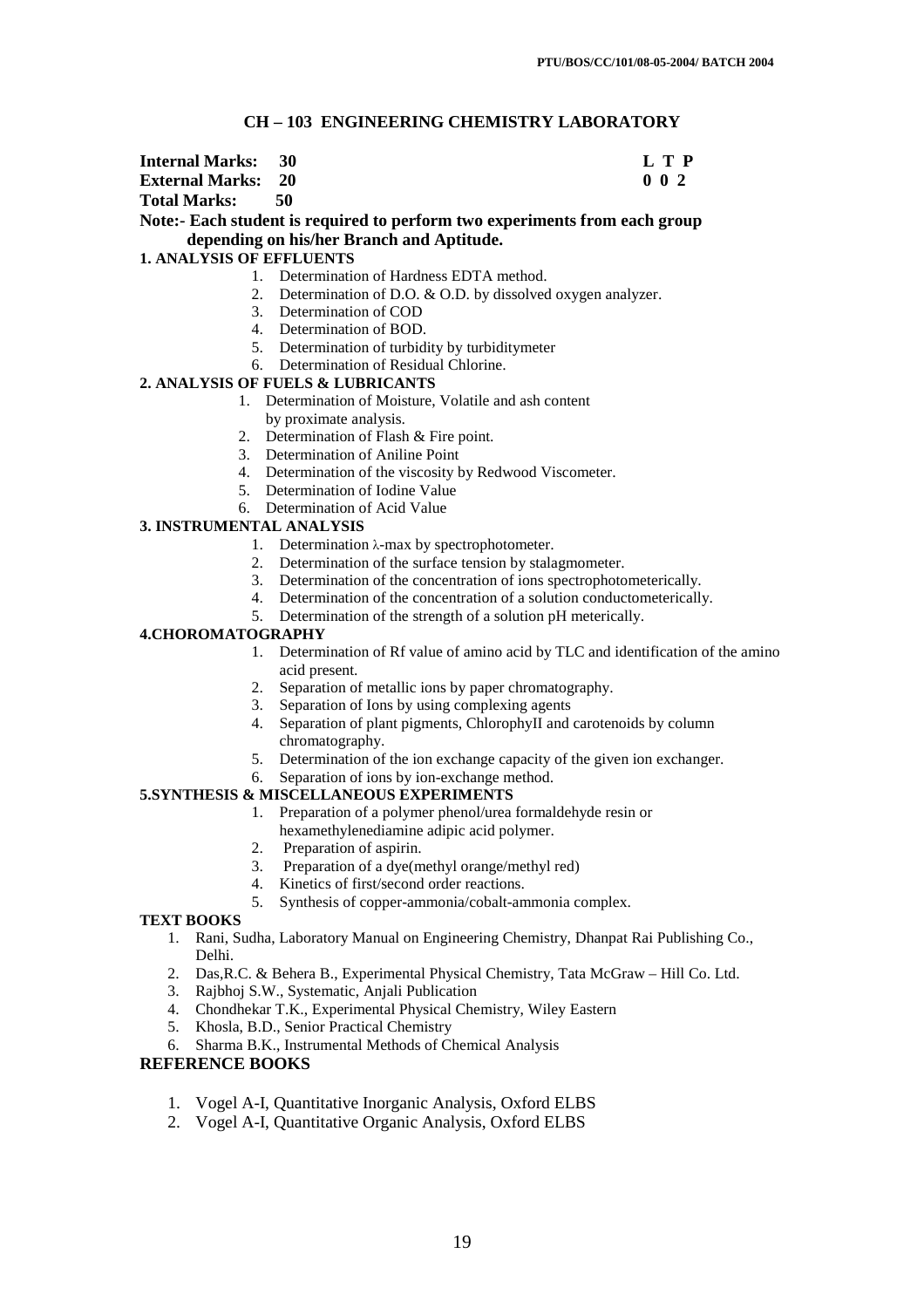## **CH – 103 ENGINEERING CHEMISTRY LABORATORY**

| <b>Internal Marks: 30</b> |  | L T P            |
|---------------------------|--|------------------|
| <b>External Marks: 20</b> |  | 0 <sub>0</sub> 2 |
| Total Marks:              |  |                  |

# **Note:- Each student is required to perform two experiments from each group depending on his/her Branch and Aptitude.**

### **1. ANALYSIS OF EFFLUENTS**

- 1. Determination of Hardness EDTA method.
- 2. Determination of D.O. & O.D. by dissolved oxygen analyzer.
- 3. Determination of COD
- 4. Determination of BOD.
- 5. Determination of turbidity by turbiditymeter
- 6. Determination of Residual Chlorine.

### **2. ANALYSIS OF FUELS & LUBRICANTS**

- 1. Determination of Moisture, Volatile and ash content by proximate analysis.
- 2. Determination of Flash & Fire point.
- 3. Determination of Aniline Point
- 4. Determination of the viscosity by Redwood Viscometer.
- 5. Determination of Iodine Value
- 6. Determination of Acid Value

## **3. INSTRUMENTAL ANALYSIS**

- 1. Determination  $\lambda$ -max by spectrophotometer.
- 2. Determination of the surface tension by stalagmometer.
- 3. Determination of the concentration of ions spectrophotometerically.
- 4. Determination of the concentration of a solution conductometerically.
- 5. Determination of the strength of a solution pH meterically.

## **4.CHOROMATOGRAPHY**

- 1. Determination of Rf value of amino acid by TLC and identification of the amino acid present.
- 2. Separation of metallic ions by paper chromatography.
- 3. Separation of Ions by using complexing agents
- 4. Separation of plant pigments, ChlorophyII and carotenoids by column chromatography.
- 5. Determination of the ion exchange capacity of the given ion exchanger.
- 6. Separation of ions by ion-exchange method.

## **5.SYNTHESIS & MISCELLANEOUS EXPERIMENTS**

- 1. Preparation of a polymer phenol/urea formaldehyde resin or hexamethylenediamine adipic acid polymer.
- 2. Preparation of aspirin.
- 3. Preparation of a dye(methyl orange/methyl red)
- 4. Kinetics of first/second order reactions.<br>5. Synthesis of copper-ammonia/cobalt-an
- Synthesis of copper-ammonia/cobalt-ammonia complex.

#### **TEXT BOOKS**

- 1. Rani, Sudha, Laboratory Manual on Engineering Chemistry, Dhanpat Rai Publishing Co., Delhi.
- 2. Das,R.C. & Behera B., Experimental Physical Chemistry, Tata McGraw Hill Co. Ltd.
- 3. Rajbhoj S.W., Systematic, Anjali Publication
- 4. Chondhekar T.K., Experimental Physical Chemistry, Wiley Eastern
- 5. Khosla, B.D., Senior Practical Chemistry
- 6. Sharma B.K., Instrumental Methods of Chemical Analysis

## **REFERENCE BOOKS**

- 1. Vogel A-I, Quantitative Inorganic Analysis, Oxford ELBS
- 2. Vogel A-I, Quantitative Organic Analysis, Oxford ELBS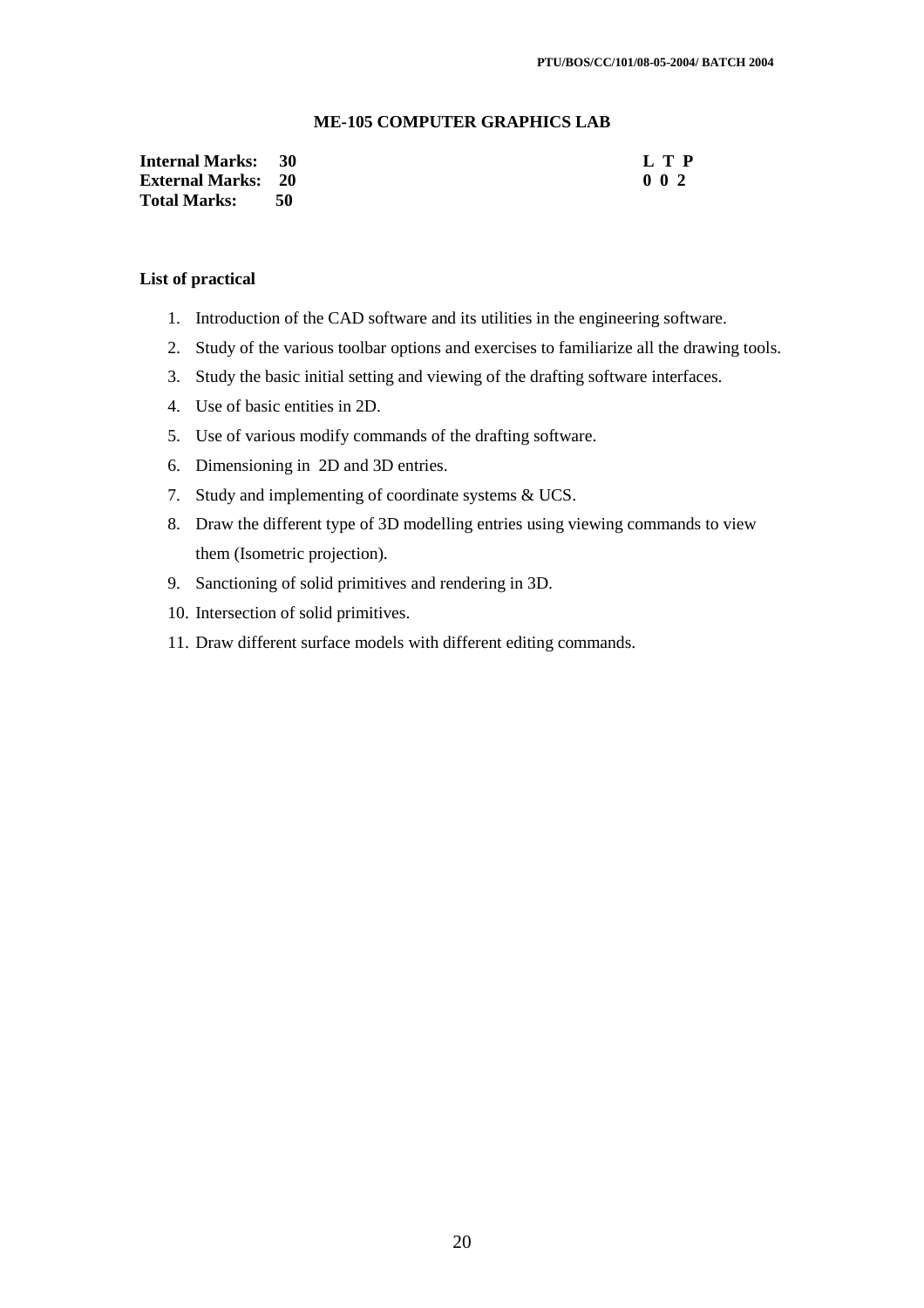## **ME-105 COMPUTER GRAPHICS LAB**

| <b>Internal Marks: 30</b> |      | L T P            |
|---------------------------|------|------------------|
| <b>External Marks: 20</b> |      | 0 <sub>0</sub> 2 |
| <b>Total Marks:</b>       | - 50 |                  |

### **List of practical**

- 1. Introduction of the CAD software and its utilities in the engineering software.
- 2. Study of the various toolbar options and exercises to familiarize all the drawing tools.
- 3. Study the basic initial setting and viewing of the drafting software interfaces.
- 4. Use of basic entities in 2D.
- 5. Use of various modify commands of the drafting software.
- 6. Dimensioning in 2D and 3D entries.
- 7. Study and implementing of coordinate systems & UCS.
- 8. Draw the different type of 3D modelling entries using viewing commands to view them (Isometric projection).
- 9. Sanctioning of solid primitives and rendering in 3D.
- 10. Intersection of solid primitives.
- 11. Draw different surface models with different editing commands.